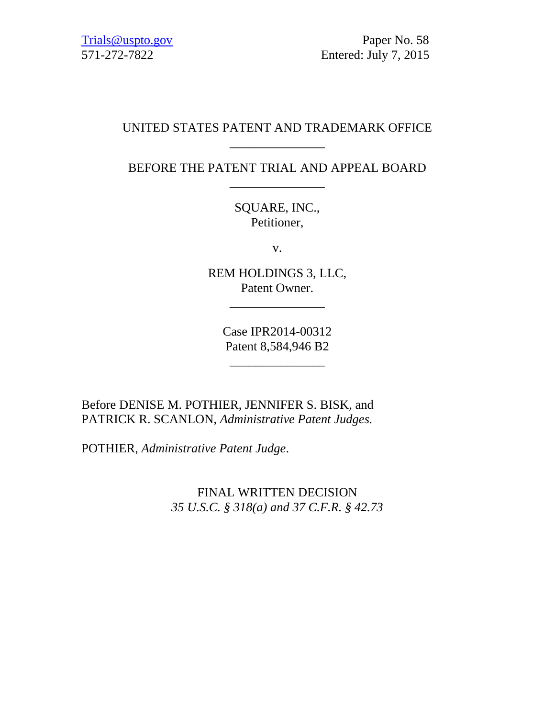[Trials@uspto.gov](mailto:Trials@uspto.gov) Paper No. 58 571-272-7822 Entered: July 7, 2015

#### UNITED STATES PATENT AND TRADEMARK OFFICE \_\_\_\_\_\_\_\_\_\_\_\_\_\_\_

BEFORE THE PATENT TRIAL AND APPEAL BOARD \_\_\_\_\_\_\_\_\_\_\_\_\_\_\_

> SQUARE, INC., Petitioner,

> > v.

REM HOLDINGS 3, LLC, Patent Owner.

\_\_\_\_\_\_\_\_\_\_\_\_\_\_\_

Case IPR2014-00312 Patent 8,584,946 B2

\_\_\_\_\_\_\_\_\_\_\_\_\_\_\_

Before DENISE M. POTHIER, JENNIFER S. BISK, and PATRICK R. SCANLON, *Administrative Patent Judges.* 

POTHIER, *Administrative Patent Judge*.

FINAL WRITTEN DECISION *35 U.S.C. § 318(a) and 37 C.F.R. § 42.73*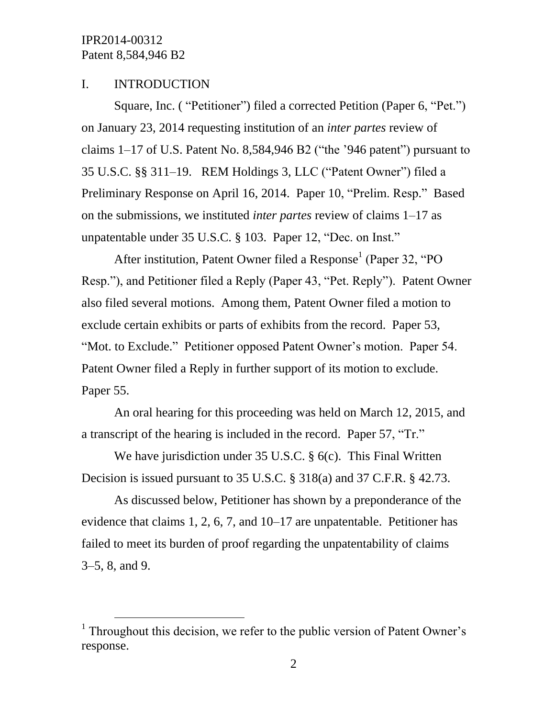$\overline{a}$ 

#### I. INTRODUCTION

Square, Inc. ( "Petitioner") filed a corrected Petition (Paper 6, "Pet.") on January 23, 2014 requesting institution of an *inter partes* review of claims  $1-17$  of U.S. Patent No. 8,584,946 B2 ("the '946 patent") pursuant to 35 U.S.C. §§ 311–19. REM Holdings 3, LLC ("Patent Owner") filed a Preliminary Response on April 16, 2014. Paper 10, "Prelim. Resp." Based on the submissions, we instituted *inter partes* review of claims 1–17 as unpatentable under 35 U.S.C. § 103. Paper 12, "Dec. on Inst."

After institution, Patent Owner filed a Response<sup>1</sup> (Paper 32, "PO Resp."), and Petitioner filed a Reply (Paper 43, "Pet. Reply"). Patent Owner also filed several motions. Among them, Patent Owner filed a motion to exclude certain exhibits or parts of exhibits from the record. Paper 53, "Mot. to Exclude." Petitioner opposed Patent Owner's motion. Paper 54. Patent Owner filed a Reply in further support of its motion to exclude. Paper 55.

An oral hearing for this proceeding was held on March 12, 2015, and a transcript of the hearing is included in the record. Paper 57, "Tr."

We have jurisdiction under 35 U.S.C. § 6(c). This Final Written Decision is issued pursuant to 35 U.S.C. § 318(a) and 37 C.F.R. § 42.73.

As discussed below, Petitioner has shown by a preponderance of the evidence that claims 1, 2, 6, 7, and 10–17 are unpatentable. Petitioner has failed to meet its burden of proof regarding the unpatentability of claims 3–5, 8, and 9.

<sup>&</sup>lt;sup>1</sup> Throughout this decision, we refer to the public version of Patent Owner's response.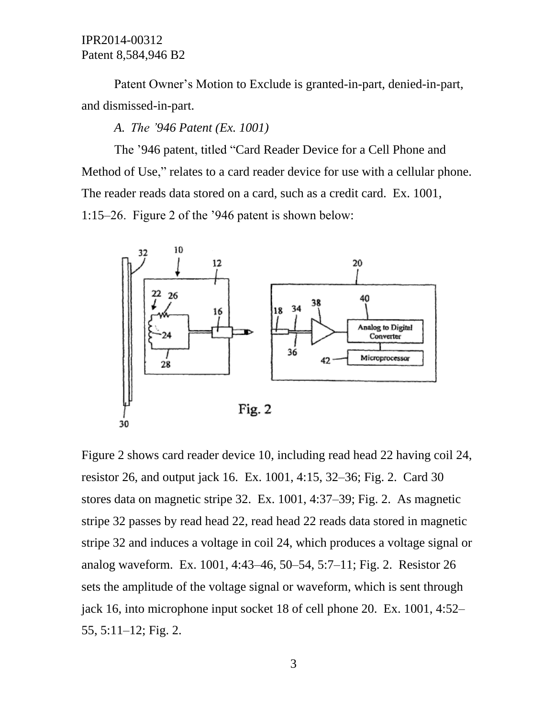Patent Owner's Motion to Exclude is granted-in-part, denied-in-part, and dismissed-in-part.

*A. The '946 Patent (Ex. 1001)*

The '946 patent, titled "Card Reader Device for a Cell Phone and Method of Use," relates to a card reader device for use with a cellular phone. The reader reads data stored on a card, such as a credit card. Ex. 1001, 1:15–26. Figure 2 of the '946 patent is shown below:



Figure 2 shows card reader device 10, including read head 22 having coil 24, resistor 26, and output jack 16. Ex. 1001, 4:15, 32–36; Fig. 2. Card 30 stores data on magnetic stripe 32. Ex. 1001, 4:37–39; Fig. 2. As magnetic stripe 32 passes by read head 22, read head 22 reads data stored in magnetic stripe 32 and induces a voltage in coil 24, which produces a voltage signal or analog waveform. Ex. 1001, 4:43–46, 50–54, 5:7–11; Fig. 2. Resistor 26 sets the amplitude of the voltage signal or waveform, which is sent through jack 16, into microphone input socket 18 of cell phone 20. Ex. 1001, 4:52– 55, 5:11–12; Fig. 2.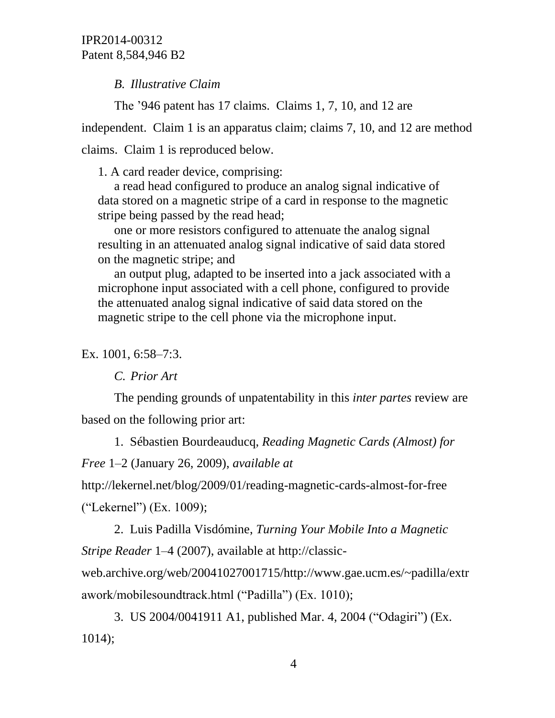*B. Illustrative Claim* 

The '946 patent has 17 claims. Claims 1, 7, 10, and 12 are independent. Claim 1 is an apparatus claim; claims 7, 10, and 12 are method claims. Claim 1 is reproduced below.

1. A card reader device, comprising:

a read head configured to produce an analog signal indicative of data stored on a magnetic stripe of a card in response to the magnetic stripe being passed by the read head;

one or more resistors configured to attenuate the analog signal resulting in an attenuated analog signal indicative of said data stored on the magnetic stripe; and

an output plug, adapted to be inserted into a jack associated with a microphone input associated with a cell phone, configured to provide the attenuated analog signal indicative of said data stored on the magnetic stripe to the cell phone via the microphone input.

Ex. 1001, 6:58–7:3.

*C. Prior Art*

The pending grounds of unpatentability in this *inter partes* review are based on the following prior art:

1. Sébastien Bourdeauducq, *Reading Magnetic Cards (Almost) for* 

*Free* 1–2 (January 26, 2009), *available at* 

http://lekernel.net/blog/2009/01/reading-magnetic-cards-almost-for-free ("Lekernel") (Ex. 1009);

2. Luis Padilla Visdómine, *Turning Your Mobile Into a Magnetic Stripe Reader* 1–4 (2007), available at http://classic-

web.archive.org/web/20041027001715/http://www.gae.ucm.es/~padilla/extr awork/mobilesoundtrack.html ("Padilla") (Ex. 1010);

3. US 2004/0041911 A1, published Mar. 4, 2004 ("Odagiri") (Ex. 1014);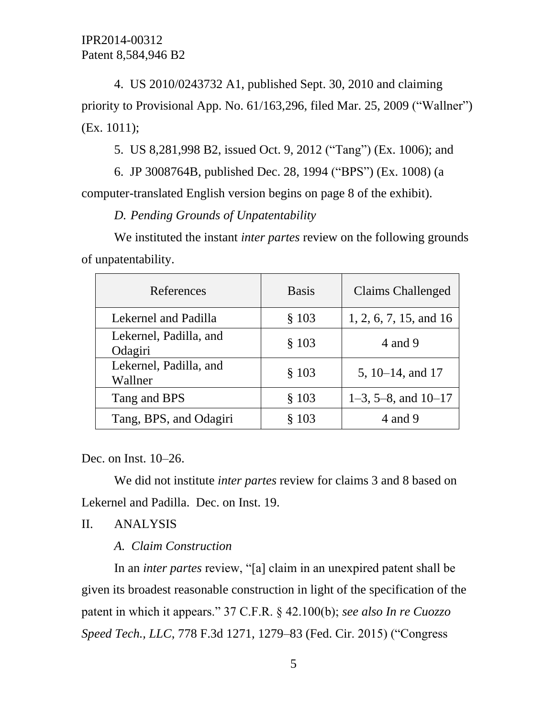4. US 2010/0243732 A1, published Sept. 30, 2010 and claiming priority to Provisional App. No. 61/163,296, filed Mar. 25, 2009 ("Wallner") (Ex. 1011);

5. US 8,281,998 B2, issued Oct. 9, 2012 ("Tang") (Ex. 1006); and

6. JP 3008764B, published Dec. 28, 1994 ("BPS") (Ex. 1008) (a computer-translated English version begins on page 8 of the exhibit).

*D. Pending Grounds of Unpatentability* 

We instituted the instant *inter partes* review on the following grounds of unpatentability.

| References                        | <b>Basis</b> | <b>Claims Challenged</b> |
|-----------------------------------|--------------|--------------------------|
| Lekernel and Padilla              | § 103        | 1, 2, 6, 7, 15, and 16   |
| Lekernel, Padilla, and<br>Odagiri | § 103        | 4 and 9                  |
| Lekernel, Padilla, and<br>Wallner | § 103        | 5, 10–14, and 17         |
| Tang and BPS                      | § 103        | $1-3$ , 5-8, and $10-17$ |
| Tang, BPS, and Odagiri            | § 103        | 4 and 9                  |

Dec. on Inst. 10–26.

We did not institute *inter partes* review for claims 3 and 8 based on Lekernel and Padilla. Dec. on Inst. 19.

### II. ANALYSIS

### *A. Claim Construction*

In an *inter partes* review, "[a] claim in an unexpired patent shall be given its broadest reasonable construction in light of the specification of the patent in which it appears." 37 C.F.R. § 42.100(b); *see also In re Cuozzo Speed Tech., LLC*, 778 F.3d 1271, 1279–83 (Fed. Cir. 2015) ("Congress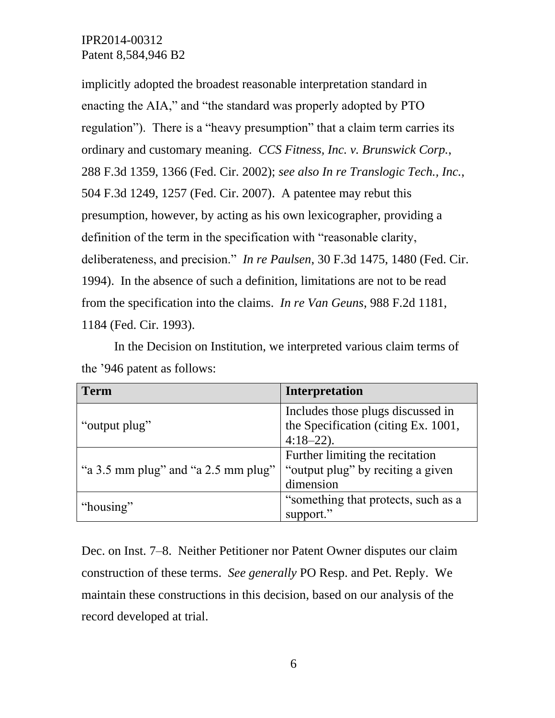implicitly adopted the broadest reasonable interpretation standard in enacting the AIA," and "the standard was properly adopted by PTO regulation"). There is a "heavy presumption" that a claim term carries its ordinary and customary meaning. *CCS Fitness, Inc. v. Brunswick Corp.*, 288 F.3d 1359, 1366 (Fed. Cir. 2002); *see also In re Translogic Tech., Inc.*, 504 F.3d 1249, 1257 (Fed. Cir. 2007). A patentee may rebut this presumption, however, by acting as his own lexicographer, providing a definition of the term in the specification with "reasonable clarity, deliberateness, and precision." *In re Paulsen*, 30 F.3d 1475, 1480 (Fed. Cir. 1994). In the absence of such a definition, limitations are not to be read from the specification into the claims. *In re Van Geuns*, 988 F.2d 1181, 1184 (Fed. Cir. 1993).

In the Decision on Institution, we interpreted various claim terms of the '946 patent as follows:

| <b>Term</b>                         | Interpretation                      |  |
|-------------------------------------|-------------------------------------|--|
|                                     | Includes those plugs discussed in   |  |
| "output plug"                       | the Specification (citing Ex. 1001, |  |
|                                     | $4:18-22$ ).                        |  |
|                                     | Further limiting the recitation     |  |
| "a 3.5 mm plug" and "a 2.5 mm plug" | "output plug" by reciting a given   |  |
|                                     | dimension                           |  |
|                                     | "something that protects, such as a |  |
| "housing"                           | support."                           |  |

Dec. on Inst. 7–8. Neither Petitioner nor Patent Owner disputes our claim construction of these terms. *See generally* PO Resp. and Pet. Reply. We maintain these constructions in this decision, based on our analysis of the record developed at trial.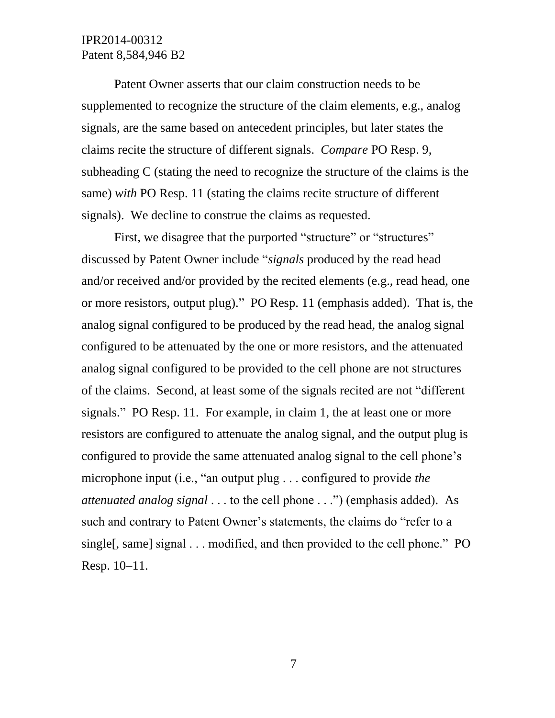Patent Owner asserts that our claim construction needs to be supplemented to recognize the structure of the claim elements, e.g., analog signals, are the same based on antecedent principles, but later states the claims recite the structure of different signals. *Compare* PO Resp. 9, subheading C (stating the need to recognize the structure of the claims is the same) *with* PO Resp. 11 (stating the claims recite structure of different signals). We decline to construe the claims as requested.

First, we disagree that the purported "structure" or "structures" discussed by Patent Owner include "*signals* produced by the read head and/or received and/or provided by the recited elements (e.g., read head, one or more resistors, output plug)." PO Resp. 11 (emphasis added). That is, the analog signal configured to be produced by the read head, the analog signal configured to be attenuated by the one or more resistors, and the attenuated analog signal configured to be provided to the cell phone are not structures of the claims. Second, at least some of the signals recited are not "different signals." PO Resp. 11. For example, in claim 1, the at least one or more resistors are configured to attenuate the analog signal, and the output plug is configured to provide the same attenuated analog signal to the cell phone's microphone input (i.e., "an output plug . . . configured to provide *the attenuated analog signal* . . . to the cell phone . . .") (emphasis added). As such and contrary to Patent Owner's statements, the claims do "refer to a single[, same] signal . . . modified, and then provided to the cell phone." PO Resp. 10–11.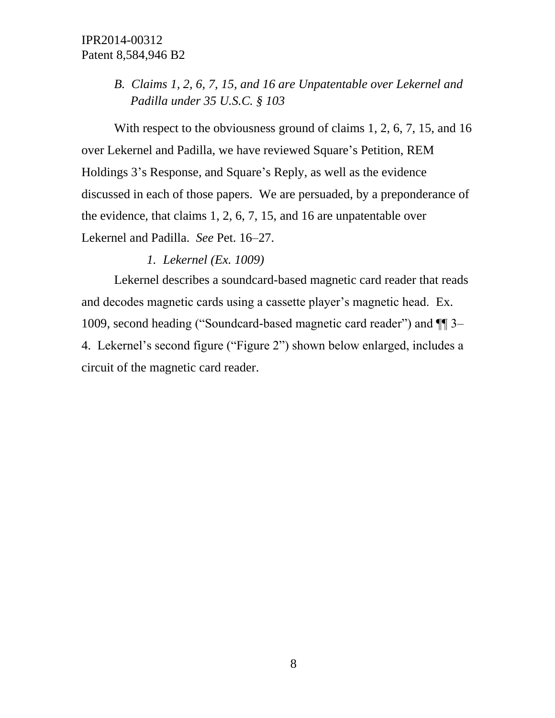# *B. Claims 1, 2, 6, 7, 15, and 16 are Unpatentable over Lekernel and Padilla under 35 U.S.C. § 103*

With respect to the obviousness ground of claims 1, 2, 6, 7, 15, and 16 over Lekernel and Padilla, we have reviewed Square's Petition, REM Holdings 3's Response, and Square's Reply, as well as the evidence discussed in each of those papers. We are persuaded, by a preponderance of the evidence, that claims 1, 2, 6, 7, 15, and 16 are unpatentable over Lekernel and Padilla. *See* Pet. 16–27.

#### *1. Lekernel (Ex. 1009)*

Lekernel describes a soundcard-based magnetic card reader that reads and decodes magnetic cards using a cassette player's magnetic head. Ex. 1009, second heading ("Soundcard-based magnetic card reader") and ¶¶ 3– 4. Lekernel's second figure ("Figure 2") shown below enlarged, includes a circuit of the magnetic card reader.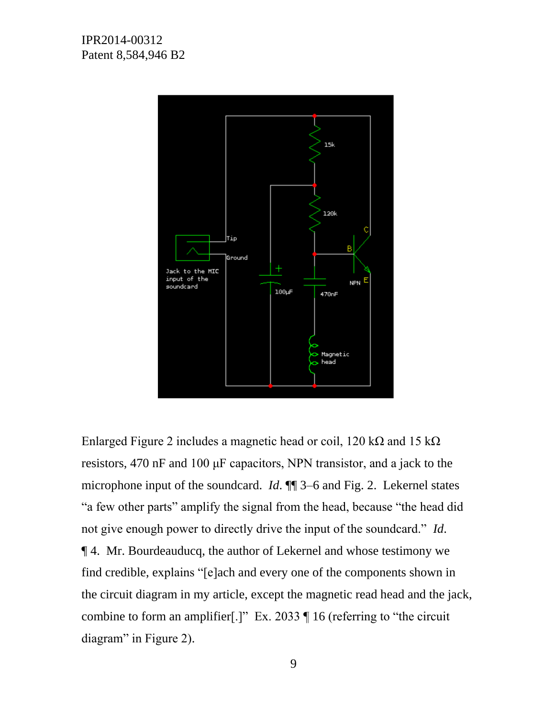

Enlarged Figure 2 includes a magnetic head or coil, 120 k $\Omega$  and 15 k $\Omega$ resistors, 470 nF and 100 μF capacitors, NPN transistor, and a jack to the microphone input of the soundcard. *Id*. ¶¶ 3–6 and Fig. 2. Lekernel states "a few other parts" amplify the signal from the head, because "the head did not give enough power to directly drive the input of the soundcard." *Id*. ¶ 4. Mr. Bourdeauducq, the author of Lekernel and whose testimony we find credible, explains "[e]ach and every one of the components shown in the circuit diagram in my article, except the magnetic read head and the jack, combine to form an amplifier[.]" Ex. 2033  $\P$  16 (referring to "the circuit diagram" in Figure 2).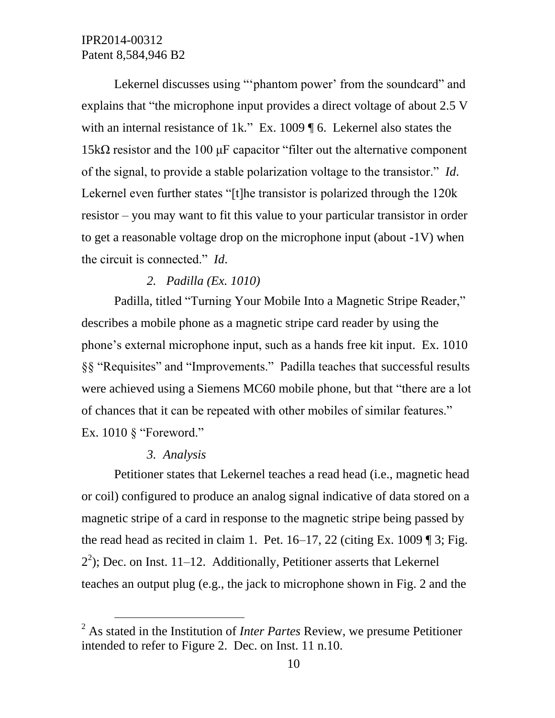Lekernel discusses using ""phantom power" from the soundcard" and explains that "the microphone input provides a direct voltage of about 2.5 V with an internal resistance of 1k." Ex. 1009 ¶ 6. Lekernel also states the 15k $\Omega$  resistor and the 100  $\mu$ F capacitor "filter out the alternative component" of the signal, to provide a stable polarization voltage to the transistor." *Id*. Lekernel even further states "[t]he transistor is polarized through the 120k resistor – you may want to fit this value to your particular transistor in order to get a reasonable voltage drop on the microphone input (about -1V) when the circuit is connected." *Id*.

#### *2. Padilla (Ex. 1010)*

Padilla, titled "Turning Your Mobile Into a Magnetic Stripe Reader," describes a mobile phone as a magnetic stripe card reader by using the phone's external microphone input, such as a hands free kit input. Ex. 1010 §§ "Requisites" and "Improvements." Padilla teaches that successful results were achieved using a Siemens MC60 mobile phone, but that "there are a lot of chances that it can be repeated with other mobiles of similar features." Ex. 1010 § "Foreword."

#### *3. Analysis*

 $\overline{a}$ 

Petitioner states that Lekernel teaches a read head (i.e., magnetic head or coil) configured to produce an analog signal indicative of data stored on a magnetic stripe of a card in response to the magnetic stripe being passed by the read head as recited in claim 1. Pet.  $16-17$ , 22 (citing Ex. 1009 ¶ 3; Fig.  $2<sup>2</sup>$ ); Dec. on Inst. 11–12. Additionally, Petitioner asserts that Lekernel teaches an output plug (e.g., the jack to microphone shown in Fig. 2 and the

<sup>2</sup> As stated in the Institution of *Inter Partes* Review, we presume Petitioner intended to refer to Figure 2. Dec. on Inst. 11 n.10.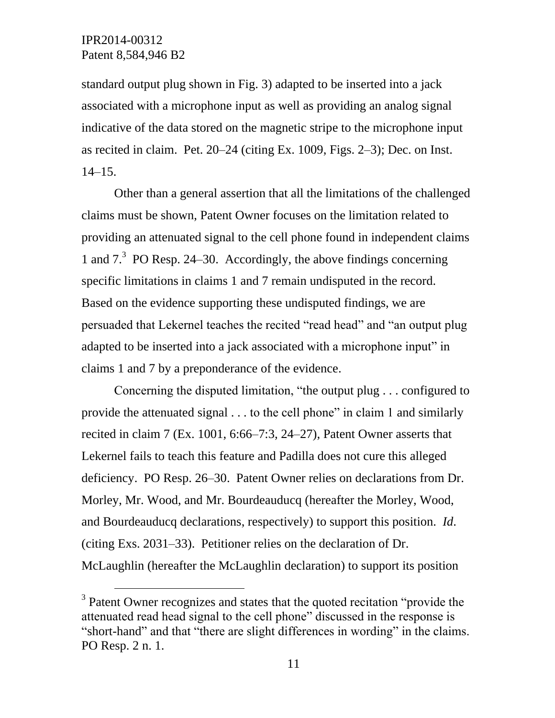l

standard output plug shown in Fig. 3) adapted to be inserted into a jack associated with a microphone input as well as providing an analog signal indicative of the data stored on the magnetic stripe to the microphone input as recited in claim. Pet. 20–24 (citing Ex. 1009, Figs. 2–3); Dec. on Inst. 14–15.

Other than a general assertion that all the limitations of the challenged claims must be shown, Patent Owner focuses on the limitation related to providing an attenuated signal to the cell phone found in independent claims 1 and 7.<sup>3</sup> PO Resp. 24–30. Accordingly, the above findings concerning specific limitations in claims 1 and 7 remain undisputed in the record. Based on the evidence supporting these undisputed findings, we are persuaded that Lekernel teaches the recited "read head" and "an output plug adapted to be inserted into a jack associated with a microphone input" in claims 1 and 7 by a preponderance of the evidence.

Concerning the disputed limitation, "the output plug . . . configured to provide the attenuated signal . . . to the cell phone" in claim 1 and similarly recited in claim 7 (Ex. 1001, 6:66–7:3, 24–27), Patent Owner asserts that Lekernel fails to teach this feature and Padilla does not cure this alleged deficiency. PO Resp. 26–30. Patent Owner relies on declarations from Dr. Morley, Mr. Wood, and Mr. Bourdeauducq (hereafter the Morley, Wood, and Bourdeauducq declarations, respectively) to support this position. *Id*. (citing Exs. 2031–33). Petitioner relies on the declaration of Dr. McLaughlin (hereafter the McLaughlin declaration) to support its position

<sup>&</sup>lt;sup>3</sup> Patent Owner recognizes and states that the quoted recitation "provide the attenuated read head signal to the cell phone" discussed in the response is "short-hand" and that "there are slight differences in wording" in the claims. PO Resp. 2 n. 1.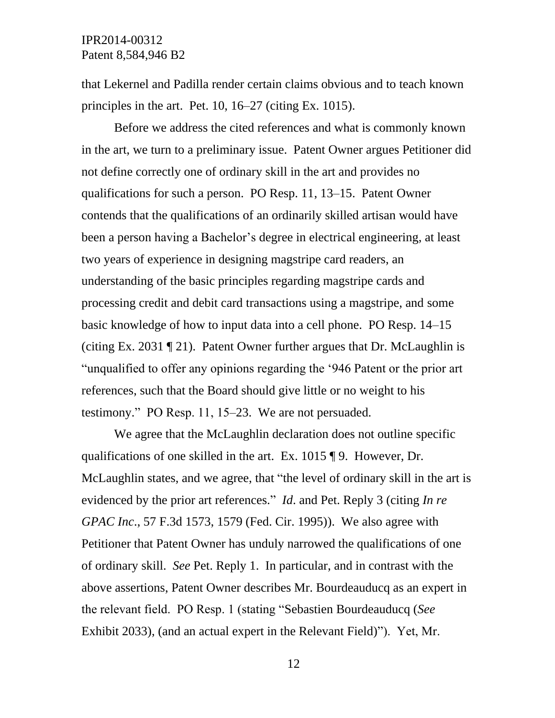that Lekernel and Padilla render certain claims obvious and to teach known principles in the art. Pet. 10, 16–27 (citing Ex. 1015).

Before we address the cited references and what is commonly known in the art, we turn to a preliminary issue. Patent Owner argues Petitioner did not define correctly one of ordinary skill in the art and provides no qualifications for such a person. PO Resp. 11, 13–15. Patent Owner contends that the qualifications of an ordinarily skilled artisan would have been a person having a Bachelor's degree in electrical engineering, at least two years of experience in designing magstripe card readers, an understanding of the basic principles regarding magstripe cards and processing credit and debit card transactions using a magstripe, and some basic knowledge of how to input data into a cell phone. PO Resp. 14–15 (citing Ex. 2031  $\P$  21). Patent Owner further argues that Dr. McLaughlin is "unqualified to offer any opinions regarding the '946 Patent or the prior art references, such that the Board should give little or no weight to his testimony." PO Resp. 11, 15–23. We are not persuaded.

We agree that the McLaughlin declaration does not outline specific qualifications of one skilled in the art. Ex. 1015 ¶ 9. However, Dr. McLaughlin states, and we agree, that "the level of ordinary skill in the art is evidenced by the prior art references." *Id*. and Pet. Reply 3 (citing *In re GPAC Inc*., 57 F.3d 1573, 1579 (Fed. Cir. 1995)). We also agree with Petitioner that Patent Owner has unduly narrowed the qualifications of one of ordinary skill. *See* Pet. Reply 1. In particular, and in contrast with the above assertions, Patent Owner describes Mr. Bourdeauducq as an expert in the relevant field. PO Resp. 1 (stating "Sebastien Bourdeauducq (*See* Exhibit 2033), (and an actual expert in the Relevant Field)"). Yet, Mr.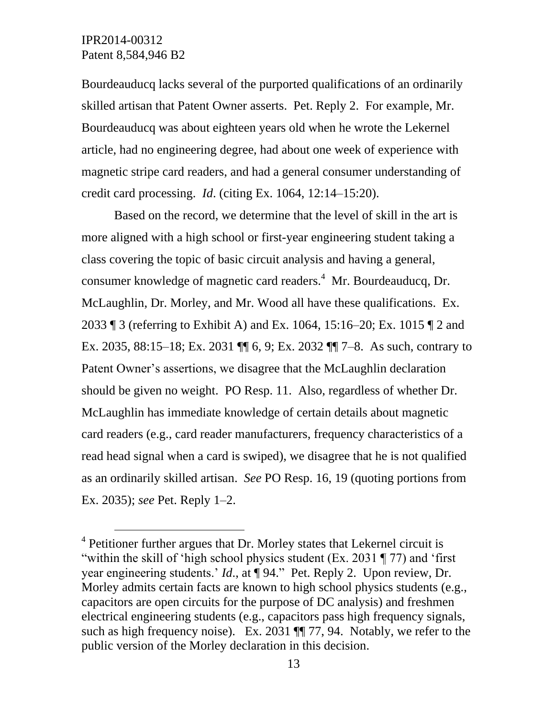$\overline{a}$ 

Bourdeauducq lacks several of the purported qualifications of an ordinarily skilled artisan that Patent Owner asserts. Pet. Reply 2. For example, Mr. Bourdeauducq was about eighteen years old when he wrote the Lekernel article, had no engineering degree, had about one week of experience with magnetic stripe card readers, and had a general consumer understanding of credit card processing. *Id*. (citing Ex. 1064, 12:14–15:20).

Based on the record, we determine that the level of skill in the art is more aligned with a high school or first-year engineering student taking a class covering the topic of basic circuit analysis and having a general, consumer knowledge of magnetic card readers. 4 Mr. Bourdeauducq, Dr. McLaughlin, Dr. Morley, and Mr. Wood all have these qualifications. Ex. 2033 ¶ 3 (referring to Exhibit A) and Ex. 1064, 15:16–20; Ex. 1015 ¶ 2 and Ex. 2035, 88:15–18; Ex. 2031 ¶¶ 6, 9; Ex. 2032 ¶¶ 7–8. As such, contrary to Patent Owner's assertions, we disagree that the McLaughlin declaration should be given no weight. PO Resp. 11. Also, regardless of whether Dr. McLaughlin has immediate knowledge of certain details about magnetic card readers (e.g., card reader manufacturers, frequency characteristics of a read head signal when a card is swiped), we disagree that he is not qualified as an ordinarily skilled artisan. *See* PO Resp. 16, 19 (quoting portions from Ex. 2035); *see* Pet. Reply 1–2.

 $4$  Petitioner further argues that Dr. Morley states that Lekernel circuit is "within the skill of 'high school physics student (Ex. 2031 ¶ 77) and 'first year engineering students.' *Id*., at ¶ 94." Pet. Reply 2. Upon review, Dr. Morley admits certain facts are known to high school physics students (e.g., capacitors are open circuits for the purpose of DC analysis) and freshmen electrical engineering students (e.g., capacitors pass high frequency signals, such as high frequency noise). Ex. 2031 ¶ 77, 94. Notably, we refer to the public version of the Morley declaration in this decision.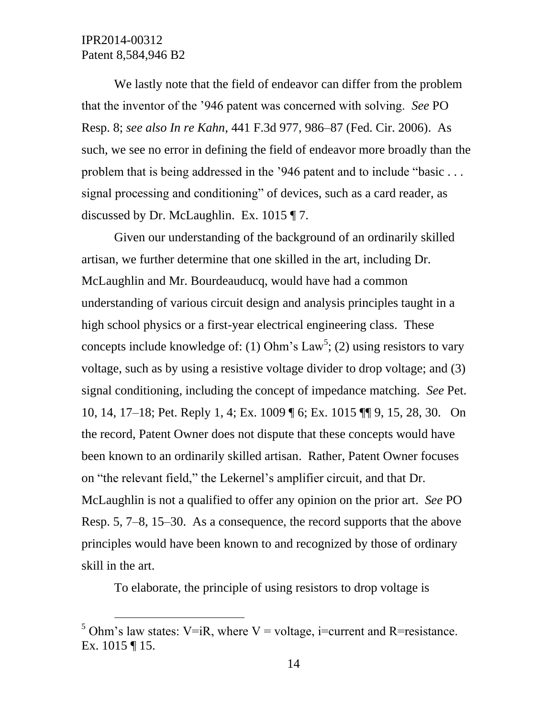$\overline{a}$ 

We lastly note that the field of endeavor can differ from the problem that the inventor of the '946 patent was concerned with solving. *See* PO Resp. 8; *see also In re Kahn*, 441 F.3d 977, 986–87 (Fed. Cir. 2006). As such, we see no error in defining the field of endeavor more broadly than the problem that is being addressed in the '946 patent and to include "basic . . . signal processing and conditioning" of devices, such as a card reader, as discussed by Dr. McLaughlin. Ex. 1015 ¶ 7.

Given our understanding of the background of an ordinarily skilled artisan, we further determine that one skilled in the art, including Dr. McLaughlin and Mr. Bourdeauducq, would have had a common understanding of various circuit design and analysis principles taught in a high school physics or a first-year electrical engineering class. These concepts include knowledge of: (1) Ohm's  $Law^5$ ; (2) using resistors to vary voltage, such as by using a resistive voltage divider to drop voltage; and (3) signal conditioning, including the concept of impedance matching. *See* Pet. 10, 14, 17–18; Pet. Reply 1, 4; Ex. 1009 ¶ 6; Ex. 1015 ¶¶ 9, 15, 28, 30.On the record, Patent Owner does not dispute that these concepts would have been known to an ordinarily skilled artisan. Rather, Patent Owner focuses on "the relevant field," the Lekernel's amplifier circuit, and that Dr. McLaughlin is not a qualified to offer any opinion on the prior art. *See* PO Resp. 5, 7–8, 15–30. As a consequence, the record supports that the above principles would have been known to and recognized by those of ordinary skill in the art.

To elaborate, the principle of using resistors to drop voltage is

<sup>&</sup>lt;sup>5</sup> Ohm's law states: V=iR, where V = voltage, i=current and R=resistance. Ex. 1015 ¶ 15.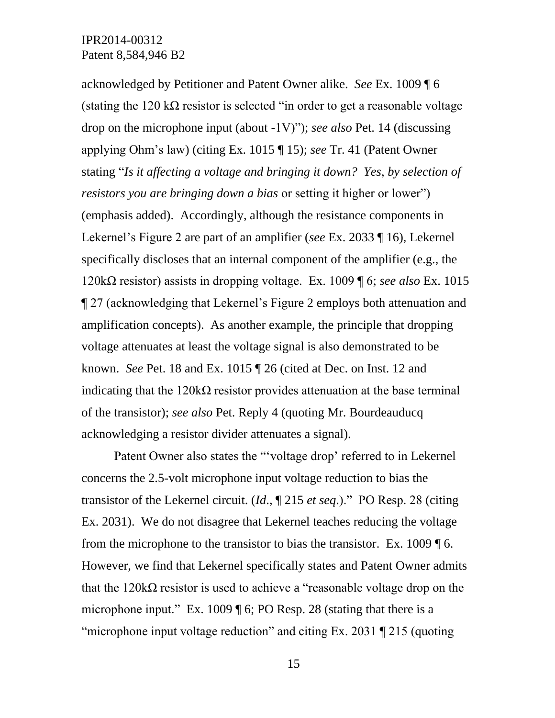acknowledged by Petitioner and Patent Owner alike. *See* Ex. 1009 ¶ 6 (stating the 120 k $\Omega$  resistor is selected "in order to get a reasonable voltage drop on the microphone input (about -1V)"); *see also* Pet. 14 (discussing applying Ohm's law) (citing Ex. 1015 ¶ 15); *see* Tr. 41 (Patent Owner stating "*Is it affecting a voltage and bringing it down? Yes*, *by selection of resistors you are bringing down a bias* or setting it higher or lower") (emphasis added). Accordingly, although the resistance components in Lekernel's Figure 2 are part of an amplifier (*see* Ex. 2033 ¶ 16), Lekernel specifically discloses that an internal component of the amplifier (e.g., the 120kΩ resistor) assists in dropping voltage. Ex. 1009 ¶ 6; *see also* Ex. 1015 ¶ 27 (acknowledging that Lekernel's Figure 2 employs both attenuation and amplification concepts). As another example, the principle that dropping voltage attenuates at least the voltage signal is also demonstrated to be known. *See* Pet. 18 and Ex. 1015 ¶ 26 (cited at Dec. on Inst. 12 and indicating that the  $120k\Omega$  resistor provides attenuation at the base terminal of the transistor); *see also* Pet. Reply 4 (quoting Mr. Bourdeauducq acknowledging a resistor divider attenuates a signal).

Patent Owner also states the "'voltage drop' referred to in Lekernel concerns the 2.5-volt microphone input voltage reduction to bias the transistor of the Lekernel circuit. (*Id*., ¶ 215 *et seq*.)." PO Resp. 28 (citing Ex. 2031). We do not disagree that Lekernel teaches reducing the voltage from the microphone to the transistor to bias the transistor. Ex. 1009 ¶ 6. However, we find that Lekernel specifically states and Patent Owner admits that the 120kΩ resistor is used to achieve a "reasonable voltage drop on the microphone input." Ex. 1009 ¶ 6; PO Resp. 28 (stating that there is a "microphone input voltage reduction" and citing Ex. 2031 ¶ 215 (quoting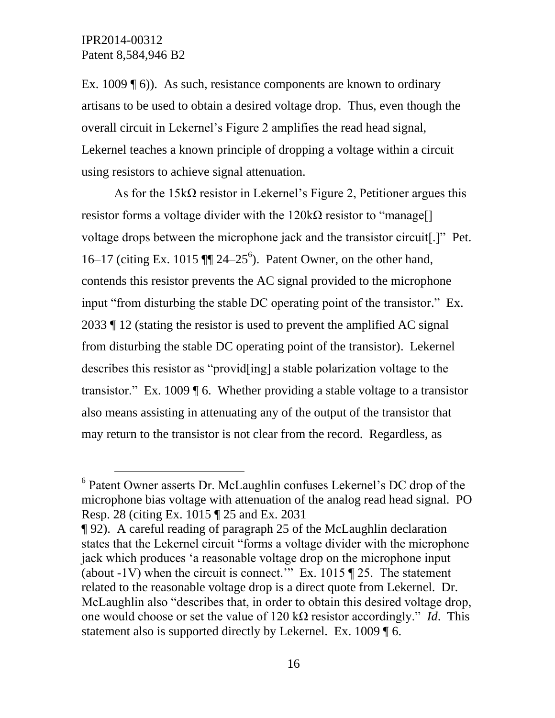$\overline{a}$ 

Ex. 1009 (6)). As such, resistance components are known to ordinary artisans to be used to obtain a desired voltage drop. Thus, even though the overall circuit in Lekernel's Figure 2 amplifies the read head signal, Lekernel teaches a known principle of dropping a voltage within a circuit using resistors to achieve signal attenuation.

As for the  $15k\Omega$  resistor in Lekernel's Figure 2, Petitioner argues this resistor forms a voltage divider with the  $120k\Omega$  resistor to "manage<sup>[]</sup> voltage drops between the microphone jack and the transistor circuit[.]" Pet. 16–17 (citing Ex. 1015  $\P$  $[24-25^6)$ . Patent Owner, on the other hand, contends this resistor prevents the AC signal provided to the microphone input "from disturbing the stable DC operating point of the transistor." Ex. 2033 ¶ 12 (stating the resistor is used to prevent the amplified AC signal from disturbing the stable DC operating point of the transistor). Lekernel describes this resistor as "provid[ing] a stable polarization voltage to the transistor." Ex. 1009 ¶ 6. Whether providing a stable voltage to a transistor also means assisting in attenuating any of the output of the transistor that may return to the transistor is not clear from the record. Regardless, as

<sup>6</sup> Patent Owner asserts Dr. McLaughlin confuses Lekernel's DC drop of the microphone bias voltage with attenuation of the analog read head signal. PO Resp. 28 (citing Ex. 1015 ¶ 25 and Ex. 2031

<sup>¶ 92).</sup> A careful reading of paragraph 25 of the McLaughlin declaration states that the Lekernel circuit "forms a voltage divider with the microphone jack which produces 'a reasonable voltage drop on the microphone input (about  $-1V$ ) when the circuit is connect." Ex. 1015  $\P$  25. The statement related to the reasonable voltage drop is a direct quote from Lekernel. Dr. McLaughlin also "describes that, in order to obtain this desired voltage drop, one would choose or set the value of 120 kΩ resistor accordingly." *Id*. This statement also is supported directly by Lekernel. Ex. 1009  $\llbracket 6$ .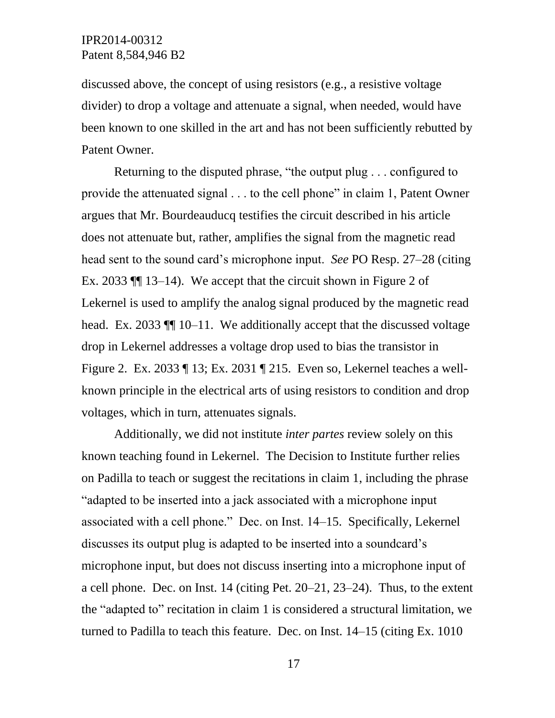discussed above, the concept of using resistors (e.g., a resistive voltage divider) to drop a voltage and attenuate a signal, when needed, would have been known to one skilled in the art and has not been sufficiently rebutted by Patent Owner.

Returning to the disputed phrase, "the output plug . . . configured to provide the attenuated signal . . . to the cell phone" in claim 1, Patent Owner argues that Mr. Bourdeauducq testifies the circuit described in his article does not attenuate but, rather, amplifies the signal from the magnetic read head sent to the sound card's microphone input. *See* PO Resp. 27–28 (citing Ex. 2033 ¶¶ 13–14). We accept that the circuit shown in Figure 2 of Lekernel is used to amplify the analog signal produced by the magnetic read head. Ex. 2033  $\P$  10–11. We additionally accept that the discussed voltage drop in Lekernel addresses a voltage drop used to bias the transistor in Figure 2. Ex. 2033 ¶ 13; Ex. 2031 ¶ 215. Even so, Lekernel teaches a wellknown principle in the electrical arts of using resistors to condition and drop voltages, which in turn, attenuates signals.

Additionally, we did not institute *inter partes* review solely on this known teaching found in Lekernel. The Decision to Institute further relies on Padilla to teach or suggest the recitations in claim 1, including the phrase "adapted to be inserted into a jack associated with a microphone input associated with a cell phone." Dec. on Inst. 14–15. Specifically, Lekernel discusses its output plug is adapted to be inserted into a soundcard's microphone input, but does not discuss inserting into a microphone input of a cell phone. Dec. on Inst. 14 (citing Pet. 20–21, 23–24). Thus, to the extent the "adapted to" recitation in claim 1 is considered a structural limitation, we turned to Padilla to teach this feature. Dec. on Inst. 14–15 (citing Ex. 1010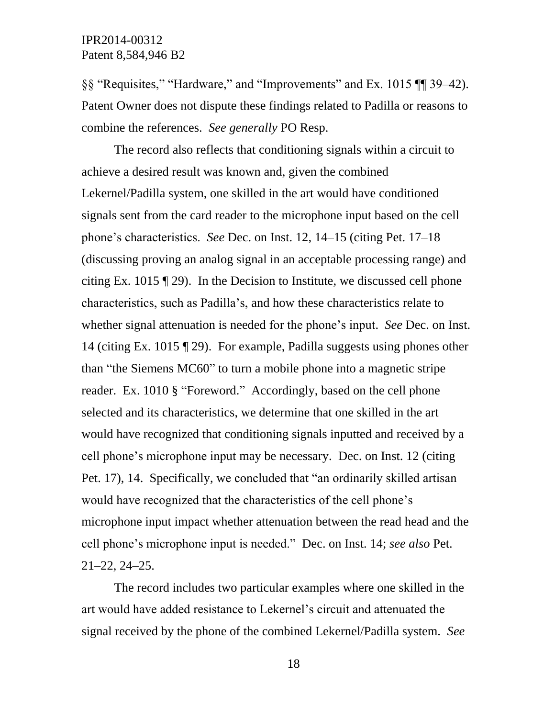§§ "Requisites," "Hardware," and "Improvements" and Ex. 1015 ¶¶ 39–42). Patent Owner does not dispute these findings related to Padilla or reasons to combine the references. *See generally* PO Resp.

The record also reflects that conditioning signals within a circuit to achieve a desired result was known and, given the combined Lekernel/Padilla system, one skilled in the art would have conditioned signals sent from the card reader to the microphone input based on the cell phone's characteristics. *See* Dec. on Inst. 12, 14–15 (citing Pet. 17–18 (discussing proving an analog signal in an acceptable processing range) and citing Ex. 1015 ¶ 29). In the Decision to Institute, we discussed cell phone characteristics, such as Padilla's, and how these characteristics relate to whether signal attenuation is needed for the phone's input. *See* Dec. on Inst. 14 (citing Ex. 1015 ¶ 29). For example, Padilla suggests using phones other than "the Siemens MC60" to turn a mobile phone into a magnetic stripe reader. Ex. 1010 § "Foreword." Accordingly, based on the cell phone selected and its characteristics, we determine that one skilled in the art would have recognized that conditioning signals inputted and received by a cell phone's microphone input may be necessary. Dec. on Inst. 12 (citing Pet. 17), 14. Specifically, we concluded that "an ordinarily skilled artisan would have recognized that the characteristics of the cell phone's microphone input impact whether attenuation between the read head and the cell phone's microphone input is needed." Dec. on Inst. 14; *see also* Pet. 21–22, 24–25.

The record includes two particular examples where one skilled in the art would have added resistance to Lekernel's circuit and attenuated the signal received by the phone of the combined Lekernel/Padilla system. *See*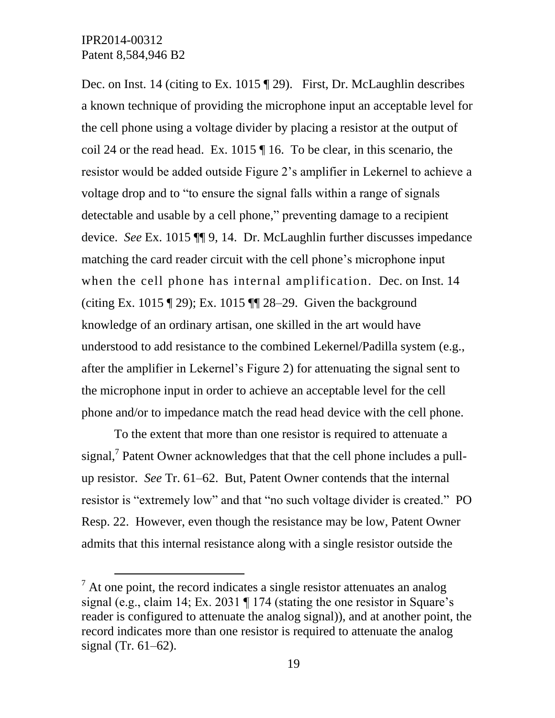l

Dec. on Inst. 14 (citing to Ex. 1015 ¶ 29). First, Dr. McLaughlin describes a known technique of providing the microphone input an acceptable level for the cell phone using a voltage divider by placing a resistor at the output of coil 24 or the read head. Ex. 1015 ¶ 16. To be clear, in this scenario, the resistor would be added outside Figure 2's amplifier in Lekernel to achieve a voltage drop and to "to ensure the signal falls within a range of signals detectable and usable by a cell phone," preventing damage to a recipient device. *See* Ex. 1015 ¶¶ 9, 14. Dr. McLaughlin further discusses impedance matching the card reader circuit with the cell phone's microphone input when the cell phone has internal amplification. Dec. on Inst. 14 (citing Ex. 1015 ¶ 29); Ex. 1015 ¶¶ 28–29. Given the background knowledge of an ordinary artisan, one skilled in the art would have understood to add resistance to the combined Lekernel/Padilla system (e.g., after the amplifier in Lekernel's Figure 2) for attenuating the signal sent to the microphone input in order to achieve an acceptable level for the cell phone and/or to impedance match the read head device with the cell phone.

To the extent that more than one resistor is required to attenuate a signal,<sup>7</sup> Patent Owner acknowledges that that the cell phone includes a pullup resistor. *See* Tr. 61–62. But, Patent Owner contends that the internal resistor is "extremely low" and that "no such voltage divider is created." PO Resp. 22. However, even though the resistance may be low, Patent Owner admits that this internal resistance along with a single resistor outside the

 $<sup>7</sup>$  At one point, the record indicates a single resistor attenuates an analog</sup> signal (e.g., claim 14; Ex. 2031 ¶ 174 (stating the one resistor in Square's reader is configured to attenuate the analog signal)), and at another point, the record indicates more than one resistor is required to attenuate the analog signal (Tr. 61–62).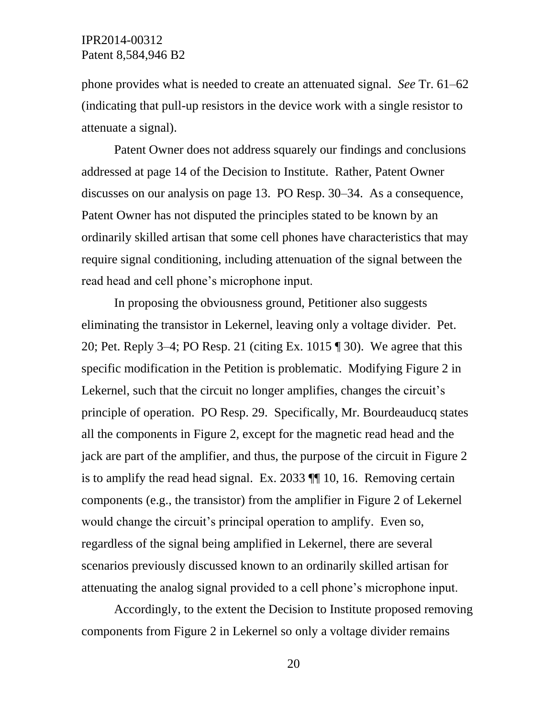phone provides what is needed to create an attenuated signal. *See* Tr. 61–62 (indicating that pull-up resistors in the device work with a single resistor to attenuate a signal).

Patent Owner does not address squarely our findings and conclusions addressed at page 14 of the Decision to Institute. Rather, Patent Owner discusses on our analysis on page 13. PO Resp. 30–34. As a consequence, Patent Owner has not disputed the principles stated to be known by an ordinarily skilled artisan that some cell phones have characteristics that may require signal conditioning, including attenuation of the signal between the read head and cell phone's microphone input.

In proposing the obviousness ground, Petitioner also suggests eliminating the transistor in Lekernel, leaving only a voltage divider. Pet. 20; Pet. Reply 3–4; PO Resp. 21 (citing Ex. 1015 ¶ 30). We agree that this specific modification in the Petition is problematic. Modifying Figure 2 in Lekernel, such that the circuit no longer amplifies, changes the circuit's principle of operation. PO Resp. 29. Specifically, Mr. Bourdeauducq states all the components in Figure 2, except for the magnetic read head and the jack are part of the amplifier, and thus, the purpose of the circuit in Figure 2 is to amplify the read head signal. Ex. 2033 ¶¶ 10, 16. Removing certain components (e.g., the transistor) from the amplifier in Figure 2 of Lekernel would change the circuit's principal operation to amplify. Even so, regardless of the signal being amplified in Lekernel, there are several scenarios previously discussed known to an ordinarily skilled artisan for attenuating the analog signal provided to a cell phone's microphone input.

Accordingly, to the extent the Decision to Institute proposed removing components from Figure 2 in Lekernel so only a voltage divider remains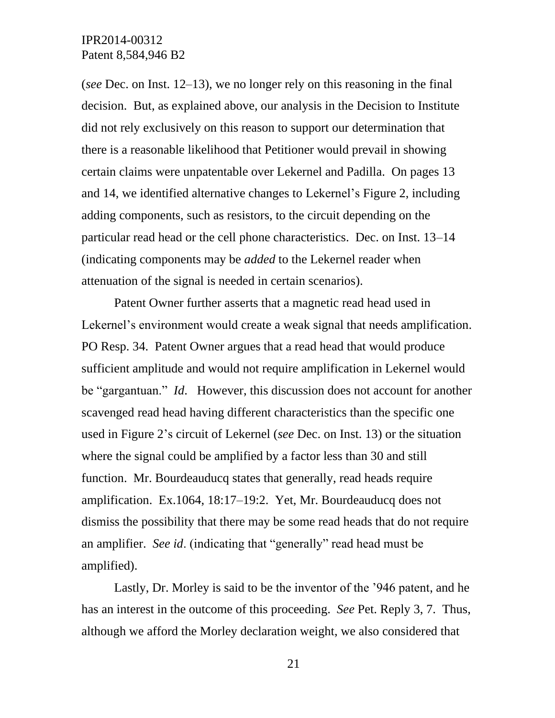(*see* Dec. on Inst. 12–13), we no longer rely on this reasoning in the final decision. But, as explained above, our analysis in the Decision to Institute did not rely exclusively on this reason to support our determination that there is a reasonable likelihood that Petitioner would prevail in showing certain claims were unpatentable over Lekernel and Padilla. On pages 13 and 14, we identified alternative changes to Lekernel's Figure 2, including adding components, such as resistors, to the circuit depending on the particular read head or the cell phone characteristics. Dec. on Inst. 13–14 (indicating components may be *added* to the Lekernel reader when attenuation of the signal is needed in certain scenarios).

Patent Owner further asserts that a magnetic read head used in Lekernel's environment would create a weak signal that needs amplification. PO Resp. 34. Patent Owner argues that a read head that would produce sufficient amplitude and would not require amplification in Lekernel would be "gargantuan." *Id*. However, this discussion does not account for another scavenged read head having different characteristics than the specific one used in Figure 2's circuit of Lekernel (*see* Dec. on Inst. 13) or the situation where the signal could be amplified by a factor less than 30 and still function. Mr. Bourdeauducq states that generally, read heads require amplification. Ex.1064, 18:17–19:2. Yet, Mr. Bourdeauducq does not dismiss the possibility that there may be some read heads that do not require an amplifier. *See id*. (indicating that "generally" read head must be amplified).

Lastly, Dr. Morley is said to be the inventor of the '946 patent, and he has an interest in the outcome of this proceeding. *See* Pet. Reply 3, 7. Thus, although we afford the Morley declaration weight, we also considered that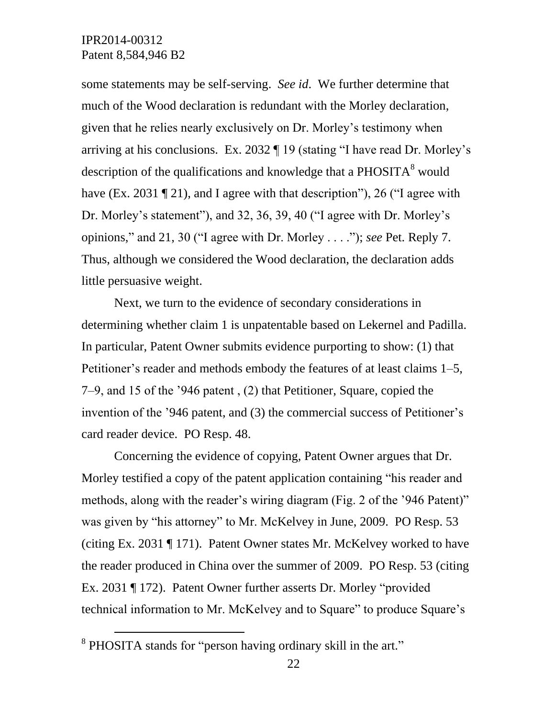some statements may be self-serving. *See id*. We further determine that much of the Wood declaration is redundant with the Morley declaration, given that he relies nearly exclusively on Dr. Morley's testimony when arriving at his conclusions. Ex. 2032 ¶ 19 (stating "I have read Dr. Morley's description of the qualifications and knowledge that a  $PHOSITA<sup>8</sup>$  would have (Ex. 2031 ¶ 21), and I agree with that description"), 26 ("I agree with Dr. Morley's statement"), and 32, 36, 39, 40 ("I agree with Dr. Morley's opinions," and 21, 30 ("I agree with Dr. Morley . . . ."); *see* Pet. Reply 7. Thus, although we considered the Wood declaration, the declaration adds little persuasive weight.

Next, we turn to the evidence of secondary considerations in determining whether claim 1 is unpatentable based on Lekernel and Padilla. In particular, Patent Owner submits evidence purporting to show: (1) that Petitioner's reader and methods embody the features of at least claims 1–5, 7–9, and 15 of the '946 patent , (2) that Petitioner, Square, copied the invention of the '946 patent, and (3) the commercial success of Petitioner's card reader device. PO Resp. 48.

Concerning the evidence of copying, Patent Owner argues that Dr. Morley testified a copy of the patent application containing "his reader and methods, along with the reader's wiring diagram (Fig. 2 of the '946 Patent)" was given by "his attorney" to Mr. McKelvey in June, 2009. PO Resp. 53 (citing Ex. 2031 ¶ 171). Patent Owner states Mr. McKelvey worked to have the reader produced in China over the summer of 2009. PO Resp. 53 (citing Ex. 2031 ¶ 172). Patent Owner further asserts Dr. Morley "provided technical information to Mr. McKelvey and to Square" to produce Square's

 $\overline{a}$ 

<sup>&</sup>lt;sup>8</sup> PHOSITA stands for "person having ordinary skill in the art."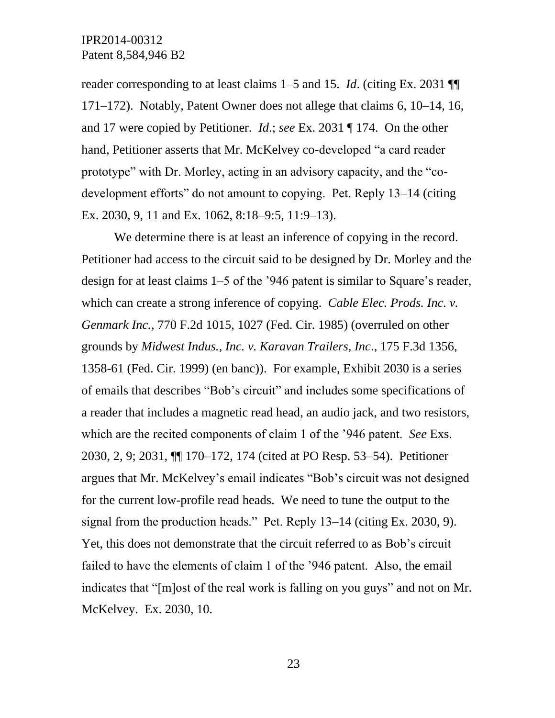reader corresponding to at least claims 1–5 and 15. *Id*. (citing Ex. 2031 ¶¶ 171–172). Notably, Patent Owner does not allege that claims 6, 10–14, 16, and 17 were copied by Petitioner. *Id*.; *see* Ex. 2031 ¶ 174. On the other hand, Petitioner asserts that Mr. McKelvey co-developed "a card reader prototype" with Dr. Morley, acting in an advisory capacity, and the "codevelopment efforts" do not amount to copying. Pet. Reply 13–14 (citing Ex. 2030, 9, 11 and Ex. 1062, 8:18–9:5, 11:9–13).

We determine there is at least an inference of copying in the record. Petitioner had access to the circuit said to be designed by Dr. Morley and the design for at least claims 1–5 of the '946 patent is similar to Square's reader, which can create a strong inference of copying. *Cable Elec. Prods. Inc. v. Genmark Inc.*, 770 F.2d 1015, 1027 (Fed. Cir. 1985) (overruled on other grounds by *Midwest Indus., Inc. v. Karavan Trailers, Inc*., 175 F.3d 1356, 1358-61 (Fed. Cir. 1999) (en banc)). For example, Exhibit 2030 is a series of emails that describes "Bob's circuit" and includes some specifications of a reader that includes a magnetic read head, an audio jack, and two resistors, which are the recited components of claim 1 of the '946 patent. *See* Exs. 2030, 2, 9; 2031, ¶¶ 170–172, 174 (cited at PO Resp. 53–54). Petitioner argues that Mr. McKelvey's email indicates "Bob's circuit was not designed for the current low-profile read heads. We need to tune the output to the signal from the production heads." Pet. Reply 13–14 (citing Ex. 2030, 9). Yet, this does not demonstrate that the circuit referred to as Bob's circuit failed to have the elements of claim 1 of the '946 patent. Also, the email indicates that "[m]ost of the real work is falling on you guys" and not on Mr. McKelvey. Ex. 2030, 10.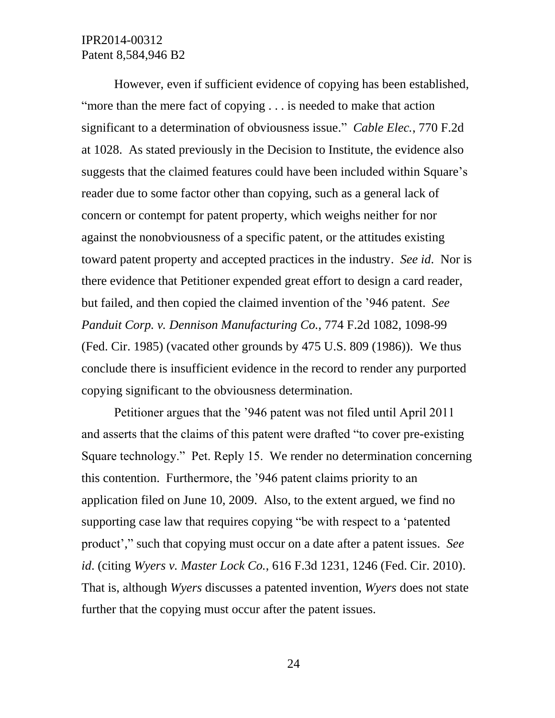However, even if sufficient evidence of copying has been established, "more than the mere fact of copying . . . is needed to make that action significant to a determination of obviousness issue." *Cable Elec.*, 770 F.2d at 1028. As stated previously in the Decision to Institute, the evidence also suggests that the claimed features could have been included within Square's reader due to some factor other than copying, such as a general lack of concern or contempt for patent property, which weighs neither for nor against the nonobviousness of a specific patent, or the attitudes existing toward patent property and accepted practices in the industry. *See id*. Nor is there evidence that Petitioner expended great effort to design a card reader, but failed, and then copied the claimed invention of the '946 patent. *See Panduit Corp. v. Dennison Manufacturing Co.*, 774 F.2d 1082, 1098-99 (Fed. Cir. 1985) (vacated other grounds by 475 U.S. 809 (1986)). We thus conclude there is insufficient evidence in the record to render any purported copying significant to the obviousness determination.

Petitioner argues that the '946 patent was not filed until April 2011 and asserts that the claims of this patent were drafted "to cover pre-existing Square technology." Pet. Reply 15. We render no determination concerning this contention. Furthermore, the '946 patent claims priority to an application filed on June 10, 2009. Also, to the extent argued, we find no supporting case law that requires copying "be with respect to a 'patented product'," such that copying must occur on a date after a patent issues. *See id*. (citing *Wyers v. Master Lock Co.*, 616 F.3d 1231, 1246 (Fed. Cir. 2010). That is, although *Wyers* discusses a patented invention, *Wyers* does not state further that the copying must occur after the patent issues.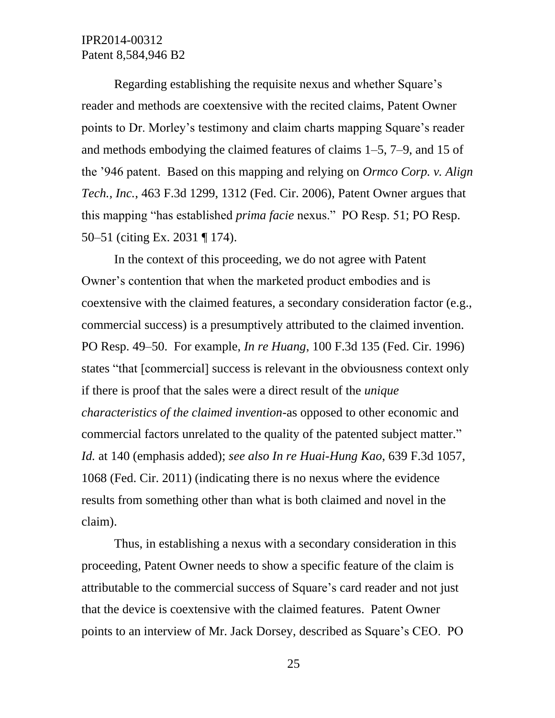Regarding establishing the requisite nexus and whether Square's reader and methods are coextensive with the recited claims, Patent Owner points to Dr. Morley's testimony and claim charts mapping Square's reader and methods embodying the claimed features of claims 1–5, 7–9, and 15 of the '946 patent. Based on this mapping and relying on *Ormco Corp. v. Align Tech., Inc.*, 463 F.3d 1299, 1312 (Fed. Cir. 2006), Patent Owner argues that this mapping "has established *prima facie* nexus." PO Resp. 51; PO Resp. 50–51 (citing Ex. 2031 ¶ 174).

In the context of this proceeding, we do not agree with Patent Owner's contention that when the marketed product embodies and is coextensive with the claimed features, a secondary consideration factor (e.g., commercial success) is a presumptively attributed to the claimed invention. PO Resp. 49–50. For example, *In re Huang*, 100 F.3d 135 (Fed. Cir. 1996) states "that [commercial] success is relevant in the obviousness context only if there is proof that the sales were a direct result of the *unique characteristics of the claimed invention*-as opposed to other economic and commercial factors unrelated to the quality of the patented subject matter." *Id.* at 140 (emphasis added); *see also In re Huai-Hung Kao*, 639 F.3d 1057, 1068 (Fed. Cir. 2011) (indicating there is no nexus where the evidence results from something other than what is both claimed and novel in the claim).

Thus, in establishing a nexus with a secondary consideration in this proceeding, Patent Owner needs to show a specific feature of the claim is attributable to the commercial success of Square's card reader and not just that the device is coextensive with the claimed features. Patent Owner points to an interview of Mr. Jack Dorsey, described as Square's CEO. PO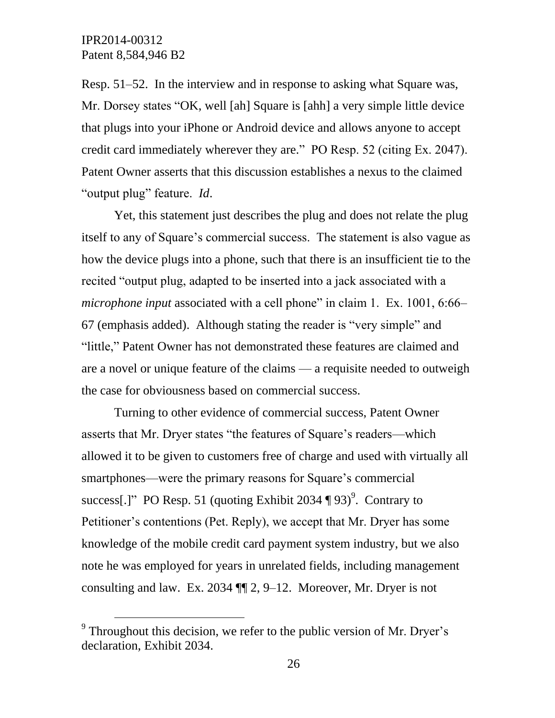$\overline{a}$ 

Resp. 51–52. In the interview and in response to asking what Square was, Mr. Dorsey states "OK, well [ah] Square is [ahh] a very simple little device that plugs into your iPhone or Android device and allows anyone to accept credit card immediately wherever they are." PO Resp. 52 (citing Ex. 2047). Patent Owner asserts that this discussion establishes a nexus to the claimed "output plug" feature. *Id*.

Yet, this statement just describes the plug and does not relate the plug itself to any of Square's commercial success. The statement is also vague as how the device plugs into a phone, such that there is an insufficient tie to the recited "output plug, adapted to be inserted into a jack associated with a *microphone input* associated with a cell phone" in claim 1. Ex. 1001, 6:66– 67 (emphasis added). Although stating the reader is "very simple" and "little," Patent Owner has not demonstrated these features are claimed and are a novel or unique feature of the claims — a requisite needed to outweigh the case for obviousness based on commercial success.

Turning to other evidence of commercial success, Patent Owner asserts that Mr. Dryer states "the features of Square's readers—which allowed it to be given to customers free of charge and used with virtually all smartphones—were the primary reasons for Square's commercial success[.]" PO Resp. 51 (quoting Exhibit 2034  $\P$  93)<sup>9</sup>. Contrary to Petitioner's contentions (Pet. Reply), we accept that Mr. Dryer has some knowledge of the mobile credit card payment system industry, but we also note he was employed for years in unrelated fields, including management consulting and law. Ex. 2034 ¶¶ 2, 9–12. Moreover, Mr. Dryer is not

 $9^9$  Throughout this decision, we refer to the public version of Mr. Dryer's declaration, Exhibit 2034.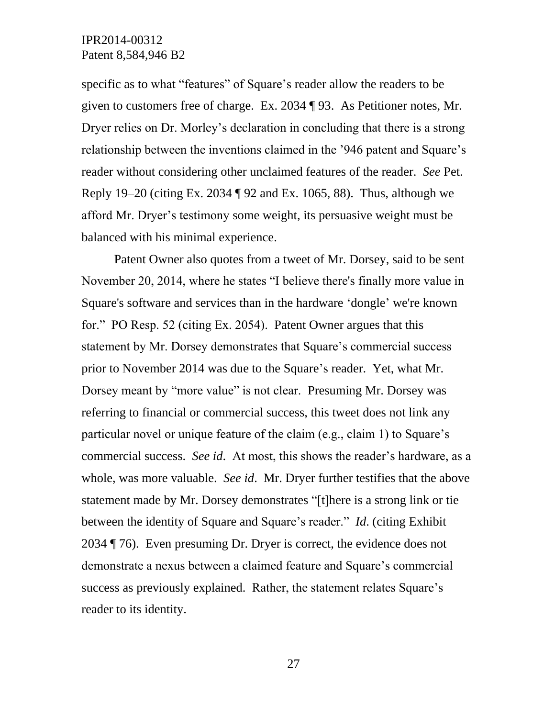specific as to what "features" of Square's reader allow the readers to be given to customers free of charge. Ex. 2034 ¶ 93. As Petitioner notes, Mr. Dryer relies on Dr. Morley's declaration in concluding that there is a strong relationship between the inventions claimed in the '946 patent and Square's reader without considering other unclaimed features of the reader. *See* Pet. Reply 19–20 (citing Ex. 2034 ¶ 92 and Ex. 1065, 88). Thus, although we afford Mr. Dryer's testimony some weight, its persuasive weight must be balanced with his minimal experience.

Patent Owner also quotes from a tweet of Mr. Dorsey, said to be sent November 20, 2014, where he states "I believe there's finally more value in Square's software and services than in the hardware 'dongle' we're known for." PO Resp. 52 (citing Ex. 2054). Patent Owner argues that this statement by Mr. Dorsey demonstrates that Square's commercial success prior to November 2014 was due to the Square's reader. Yet, what Mr. Dorsey meant by "more value" is not clear. Presuming Mr. Dorsey was referring to financial or commercial success, this tweet does not link any particular novel or unique feature of the claim (e.g., claim 1) to Square's commercial success. *See id*. At most, this shows the reader's hardware, as a whole, was more valuable. *See id*. Mr. Dryer further testifies that the above statement made by Mr. Dorsey demonstrates "[t]here is a strong link or tie between the identity of Square and Square's reader." *Id*. (citing Exhibit 2034 ¶ 76). Even presuming Dr. Dryer is correct, the evidence does not demonstrate a nexus between a claimed feature and Square's commercial success as previously explained. Rather, the statement relates Square's reader to its identity.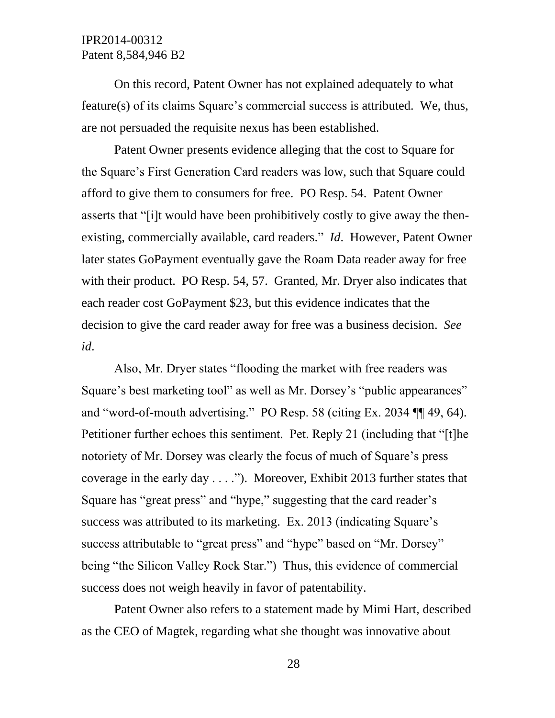On this record, Patent Owner has not explained adequately to what feature(s) of its claims Square's commercial success is attributed. We, thus, are not persuaded the requisite nexus has been established.

Patent Owner presents evidence alleging that the cost to Square for the Square's First Generation Card readers was low, such that Square could afford to give them to consumers for free. PO Resp. 54. Patent Owner asserts that "[i]t would have been prohibitively costly to give away the thenexisting, commercially available, card readers." *Id*. However, Patent Owner later states GoPayment eventually gave the Roam Data reader away for free with their product. PO Resp. 54, 57. Granted, Mr. Dryer also indicates that each reader cost GoPayment \$23, but this evidence indicates that the decision to give the card reader away for free was a business decision. *See id*.

Also, Mr. Dryer states "flooding the market with free readers was Square's best marketing tool" as well as Mr. Dorsey's "public appearances" and "word-of-mouth advertising." PO Resp. 58 (citing Ex. 2034 ¶¶ 49, 64). Petitioner further echoes this sentiment. Pet. Reply 21 (including that "[t]he notoriety of Mr. Dorsey was clearly the focus of much of Square's press coverage in the early day . . . ."). Moreover, Exhibit 2013 further states that Square has "great press" and "hype," suggesting that the card reader's success was attributed to its marketing. Ex. 2013 (indicating Square's success attributable to "great press" and "hype" based on "Mr. Dorsey" being "the Silicon Valley Rock Star.") Thus, this evidence of commercial success does not weigh heavily in favor of patentability.

Patent Owner also refers to a statement made by Mimi Hart, described as the CEO of Magtek, regarding what she thought was innovative about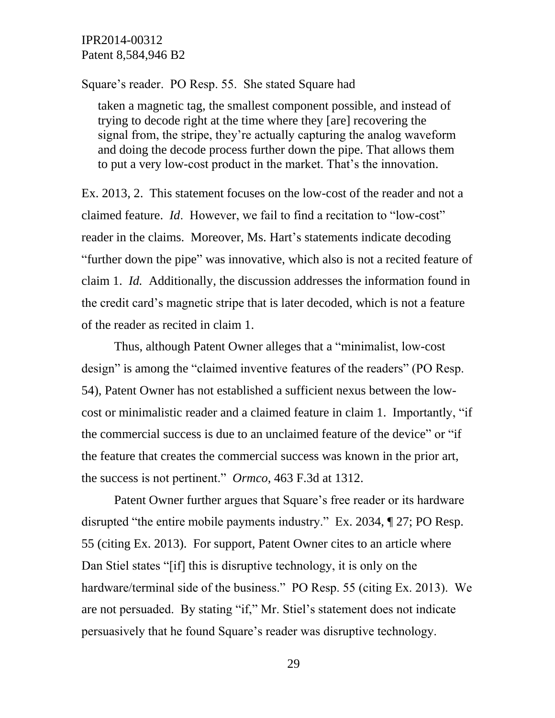#### Square's reader. PO Resp. 55. She stated Square had

taken a magnetic tag, the smallest component possible, and instead of trying to decode right at the time where they [are] recovering the signal from, the stripe, they're actually capturing the analog waveform and doing the decode process further down the pipe. That allows them to put a very low-cost product in the market. That's the innovation.

Ex. 2013, 2. This statement focuses on the low-cost of the reader and not a claimed feature. *Id*. However, we fail to find a recitation to "low-cost" reader in the claims. Moreover, Ms. Hart's statements indicate decoding "further down the pipe" was innovative, which also is not a recited feature of claim 1. *Id.* Additionally, the discussion addresses the information found in the credit card's magnetic stripe that is later decoded, which is not a feature of the reader as recited in claim 1.

Thus, although Patent Owner alleges that a "minimalist, low-cost design" is among the "claimed inventive features of the readers" (PO Resp. 54), Patent Owner has not established a sufficient nexus between the lowcost or minimalistic reader and a claimed feature in claim 1. Importantly, "if the commercial success is due to an unclaimed feature of the device" or "if the feature that creates the commercial success was known in the prior art, the success is not pertinent." *Ormco*, 463 F.3d at 1312.

Patent Owner further argues that Square's free reader or its hardware disrupted "the entire mobile payments industry." Ex. 2034, ¶ 27; PO Resp. 55 (citing Ex. 2013). For support, Patent Owner cites to an article where Dan Stiel states "[if] this is disruptive technology, it is only on the hardware/terminal side of the business." PO Resp. 55 (citing Ex. 2013). We are not persuaded. By stating "if," Mr. Stiel's statement does not indicate persuasively that he found Square's reader was disruptive technology.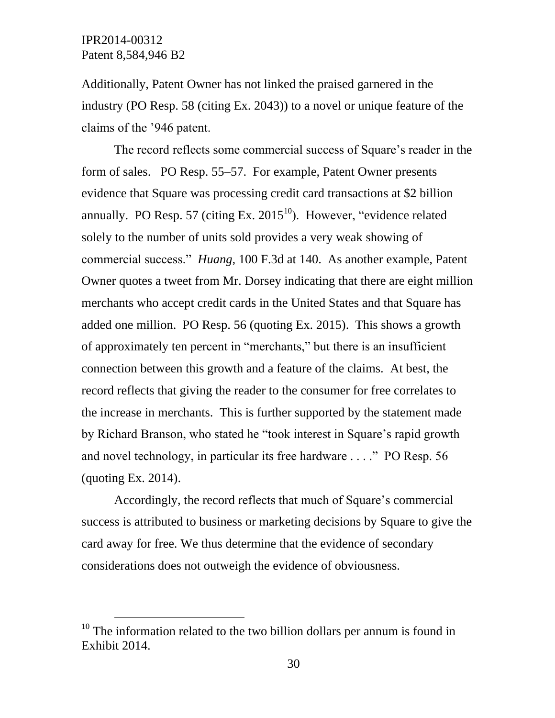$\overline{a}$ 

Additionally, Patent Owner has not linked the praised garnered in the industry (PO Resp. 58 (citing Ex. 2043)) to a novel or unique feature of the claims of the '946 patent.

The record reflects some commercial success of Square's reader in the form of sales. PO Resp. 55–57. For example, Patent Owner presents evidence that Square was processing credit card transactions at \$2 billion annually. PO Resp. 57 (citing Ex.  $2015^{10}$ ). However, "evidence related solely to the number of units sold provides a very weak showing of commercial success." *Huang,* 100 F.3d at 140. As another example, Patent Owner quotes a tweet from Mr. Dorsey indicating that there are eight million merchants who accept credit cards in the United States and that Square has added one million. PO Resp. 56 (quoting Ex. 2015). This shows a growth of approximately ten percent in "merchants," but there is an insufficient connection between this growth and a feature of the claims. At best, the record reflects that giving the reader to the consumer for free correlates to the increase in merchants. This is further supported by the statement made by Richard Branson, who stated he "took interest in Square's rapid growth and novel technology, in particular its free hardware . . . ." PO Resp. 56 (quoting Ex. 2014).

Accordingly, the record reflects that much of Square's commercial success is attributed to business or marketing decisions by Square to give the card away for free. We thus determine that the evidence of secondary considerations does not outweigh the evidence of obviousness.

 $10$  The information related to the two billion dollars per annum is found in Exhibit 2014.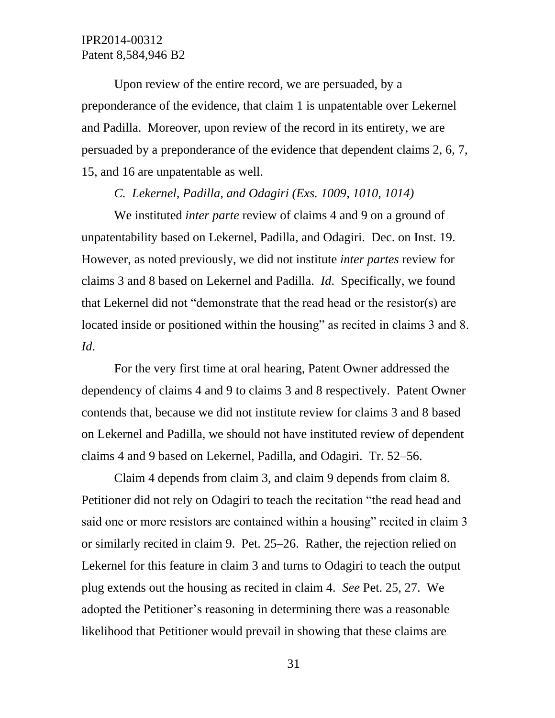Upon review of the entire record, we are persuaded, by a preponderance of the evidence, that claim 1 is unpatentable over Lekernel and Padilla. Moreover, upon review of the record in its entirety, we are persuaded by a preponderance of the evidence that dependent claims 2, 6, 7, 15, and 16 are unpatentable as well.

#### *C. Lekernel, Padilla, and Odagiri (Exs. 1009, 1010, 1014)*

We instituted *inter parte* review of claims 4 and 9 on a ground of unpatentability based on Lekernel, Padilla, and Odagiri. Dec. on Inst. 19. However, as noted previously, we did not institute *inter partes* review for claims 3 and 8 based on Lekernel and Padilla. *Id*. Specifically, we found that Lekernel did not "demonstrate that the read head or the resistor(s) are located inside or positioned within the housing" as recited in claims 3 and 8. *Id*.

For the very first time at oral hearing, Patent Owner addressed the dependency of claims 4 and 9 to claims 3 and 8 respectively. Patent Owner contends that, because we did not institute review for claims 3 and 8 based on Lekernel and Padilla, we should not have instituted review of dependent claims 4 and 9 based on Lekernel, Padilla, and Odagiri. Tr. 52–56.

Claim 4 depends from claim 3, and claim 9 depends from claim 8. Petitioner did not rely on Odagiri to teach the recitation "the read head and said one or more resistors are contained within a housing" recited in claim 3 or similarly recited in claim 9. Pet. 25–26. Rather, the rejection relied on Lekernel for this feature in claim 3 and turns to Odagiri to teach the output plug extends out the housing as recited in claim 4. *See* Pet. 25, 27. We adopted the Petitioner's reasoning in determining there was a reasonable likelihood that Petitioner would prevail in showing that these claims are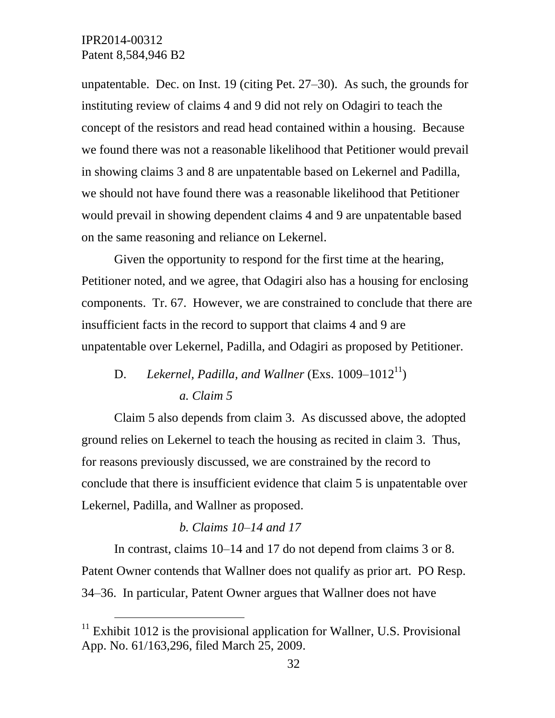$\overline{a}$ 

unpatentable. Dec. on Inst. 19 (citing Pet. 27–30). As such, the grounds for instituting review of claims 4 and 9 did not rely on Odagiri to teach the concept of the resistors and read head contained within a housing. Because we found there was not a reasonable likelihood that Petitioner would prevail in showing claims 3 and 8 are unpatentable based on Lekernel and Padilla, we should not have found there was a reasonable likelihood that Petitioner would prevail in showing dependent claims 4 and 9 are unpatentable based on the same reasoning and reliance on Lekernel.

Given the opportunity to respond for the first time at the hearing, Petitioner noted, and we agree, that Odagiri also has a housing for enclosing components. Tr. 67. However, we are constrained to conclude that there are insufficient facts in the record to support that claims 4 and 9 are unpatentable over Lekernel, Padilla, and Odagiri as proposed by Petitioner.

# D. Lekernel, Padilla, and Wallner (Exs. 1009–1012<sup>11</sup>) *a. Claim 5*

Claim 5 also depends from claim 3. As discussed above, the adopted ground relies on Lekernel to teach the housing as recited in claim 3. Thus, for reasons previously discussed, we are constrained by the record to conclude that there is insufficient evidence that claim 5 is unpatentable over Lekernel, Padilla, and Wallner as proposed.

### *b. Claims 10–14 and 17*

In contrast, claims 10–14 and 17 do not depend from claims 3 or 8. Patent Owner contends that Wallner does not qualify as prior art. PO Resp. 34–36. In particular, Patent Owner argues that Wallner does not have

 $11$  Exhibit 1012 is the provisional application for Wallner, U.S. Provisional App. No. 61/163,296, filed March 25, 2009.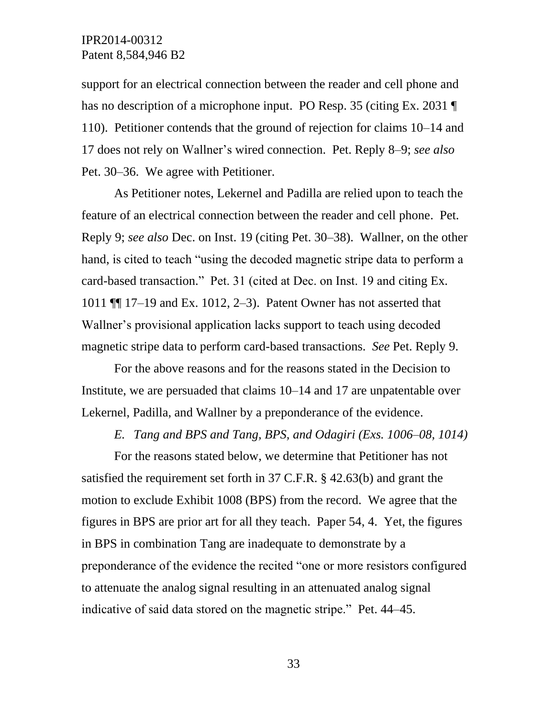support for an electrical connection between the reader and cell phone and has no description of a microphone input. PO Resp. 35 (citing Ex. 2031 ¶ 110). Petitioner contends that the ground of rejection for claims 10–14 and 17 does not rely on Wallner's wired connection. Pet. Reply 8–9; *see also* Pet. 30–36. We agree with Petitioner.

As Petitioner notes, Lekernel and Padilla are relied upon to teach the feature of an electrical connection between the reader and cell phone. Pet. Reply 9; *see also* Dec. on Inst. 19 (citing Pet. 30–38). Wallner, on the other hand, is cited to teach "using the decoded magnetic stripe data to perform a card-based transaction." Pet. 31 (cited at Dec. on Inst. 19 and citing Ex. 1011 ¶¶ 17–19 and Ex. 1012, 2–3). Patent Owner has not asserted that Wallner's provisional application lacks support to teach using decoded magnetic stripe data to perform card-based transactions. *See* Pet. Reply 9.

For the above reasons and for the reasons stated in the Decision to Institute, we are persuaded that claims 10–14 and 17 are unpatentable over Lekernel, Padilla, and Wallner by a preponderance of the evidence.

*E. Tang and BPS and Tang, BPS, and Odagiri (Exs. 1006–08, 1014)*

For the reasons stated below, we determine that Petitioner has not satisfied the requirement set forth in 37 C.F.R. § 42.63(b) and grant the motion to exclude Exhibit 1008 (BPS) from the record. We agree that the figures in BPS are prior art for all they teach. Paper 54, 4. Yet, the figures in BPS in combination Tang are inadequate to demonstrate by a preponderance of the evidence the recited "one or more resistors configured to attenuate the analog signal resulting in an attenuated analog signal indicative of said data stored on the magnetic stripe." Pet. 44–45.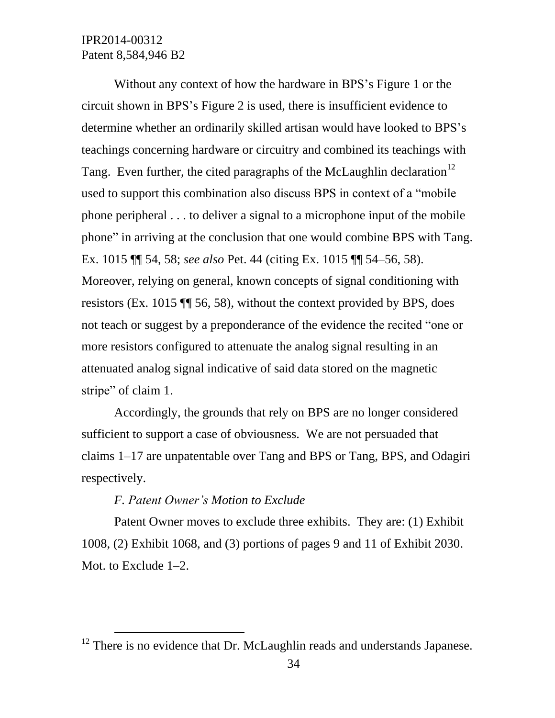Without any context of how the hardware in BPS's Figure 1 or the circuit shown in BPS's Figure 2 is used, there is insufficient evidence to determine whether an ordinarily skilled artisan would have looked to BPS's teachings concerning hardware or circuitry and combined its teachings with Tang. Even further, the cited paragraphs of the McLaughlin declaration<sup>12</sup> used to support this combination also discuss BPS in context of a "mobile phone peripheral . . . to deliver a signal to a microphone input of the mobile phone" in arriving at the conclusion that one would combine BPS with Tang. Ex. 1015 ¶¶ 54, 58; *see also* Pet. 44 (citing Ex. 1015 ¶¶ 54–56, 58). Moreover, relying on general, known concepts of signal conditioning with resistors (Ex. 1015 ¶¶ 56, 58), without the context provided by BPS, does not teach or suggest by a preponderance of the evidence the recited "one or more resistors configured to attenuate the analog signal resulting in an attenuated analog signal indicative of said data stored on the magnetic stripe" of claim 1.

Accordingly, the grounds that rely on BPS are no longer considered sufficient to support a case of obviousness. We are not persuaded that claims 1–17 are unpatentable over Tang and BPS or Tang, BPS, and Odagiri respectively.

#### *F. Patent Owner's Motion to Exclude*

 $\overline{a}$ 

Patent Owner moves to exclude three exhibits. They are: (1) Exhibit 1008, (2) Exhibit 1068, and (3) portions of pages 9 and 11 of Exhibit 2030. Mot. to Exclude 1–2.

 $12$  There is no evidence that Dr. McLaughlin reads and understands Japanese.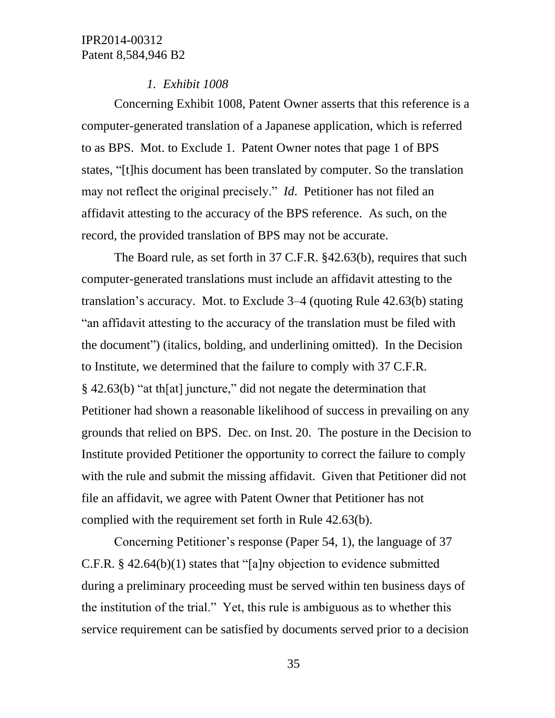#### *1. Exhibit 1008*

Concerning Exhibit 1008, Patent Owner asserts that this reference is a computer-generated translation of a Japanese application, which is referred to as BPS. Mot. to Exclude 1. Patent Owner notes that page 1 of BPS states, "[t]his document has been translated by computer. So the translation may not reflect the original precisely." *Id*. Petitioner has not filed an affidavit attesting to the accuracy of the BPS reference. As such, on the record, the provided translation of BPS may not be accurate.

The Board rule, as set forth in 37 C.F.R. §42.63(b), requires that such computer-generated translations must include an affidavit attesting to the translation's accuracy. Mot. to Exclude 3–4 (quoting Rule 42.63(b) stating "an affidavit attesting to the accuracy of the translation must be filed with the document") (italics, bolding, and underlining omitted). In the Decision to Institute, we determined that the failure to comply with 37 C.F.R. § 42.63(b) "at th[at] juncture," did not negate the determination that Petitioner had shown a reasonable likelihood of success in prevailing on any grounds that relied on BPS. Dec. on Inst. 20. The posture in the Decision to Institute provided Petitioner the opportunity to correct the failure to comply with the rule and submit the missing affidavit. Given that Petitioner did not file an affidavit, we agree with Patent Owner that Petitioner has not complied with the requirement set forth in Rule 42.63(b).

Concerning Petitioner's response (Paper 54, 1), the language of 37 C.F.R. § 42.64(b)(1) states that "[a]ny objection to evidence submitted during a preliminary proceeding must be served within ten business days of the institution of the trial." Yet, this rule is ambiguous as to whether this service requirement can be satisfied by documents served prior to a decision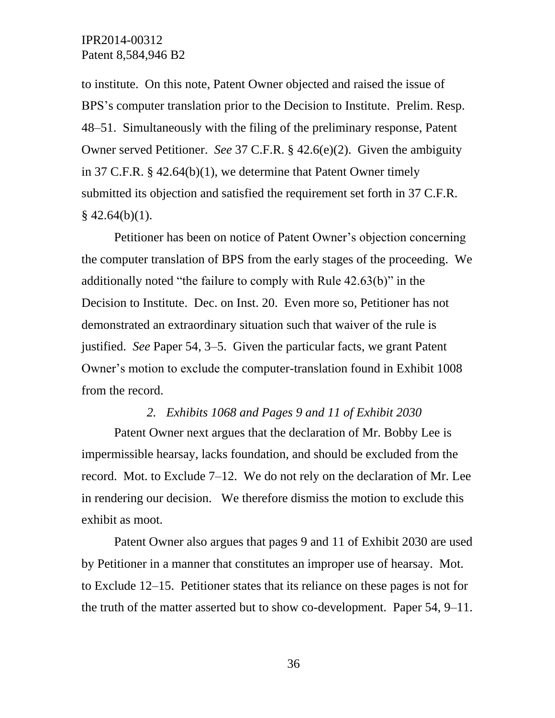to institute. On this note, Patent Owner objected and raised the issue of BPS's computer translation prior to the Decision to Institute. Prelim. Resp. 48–51. Simultaneously with the filing of the preliminary response, Patent Owner served Petitioner. *See* 37 C.F.R. § 42.6(e)(2). Given the ambiguity in 37 C.F.R. § 42.64(b)(1), we determine that Patent Owner timely submitted its objection and satisfied the requirement set forth in 37 C.F.R.  $§$  42.64(b)(1).

Petitioner has been on notice of Patent Owner's objection concerning the computer translation of BPS from the early stages of the proceeding. We additionally noted "the failure to comply with Rule 42.63(b)" in the Decision to Institute. Dec. on Inst. 20. Even more so, Petitioner has not demonstrated an extraordinary situation such that waiver of the rule is justified. *See* Paper 54, 3–5. Given the particular facts, we grant Patent Owner's motion to exclude the computer-translation found in Exhibit 1008 from the record.

#### *2. Exhibits 1068 and Pages 9 and 11 of Exhibit 2030*

Patent Owner next argues that the declaration of Mr. Bobby Lee is impermissible hearsay, lacks foundation, and should be excluded from the record. Mot. to Exclude 7–12. We do not rely on the declaration of Mr. Lee in rendering our decision. We therefore dismiss the motion to exclude this exhibit as moot.

Patent Owner also argues that pages 9 and 11 of Exhibit 2030 are used by Petitioner in a manner that constitutes an improper use of hearsay. Mot. to Exclude 12–15. Petitioner states that its reliance on these pages is not for the truth of the matter asserted but to show co-development. Paper 54, 9–11.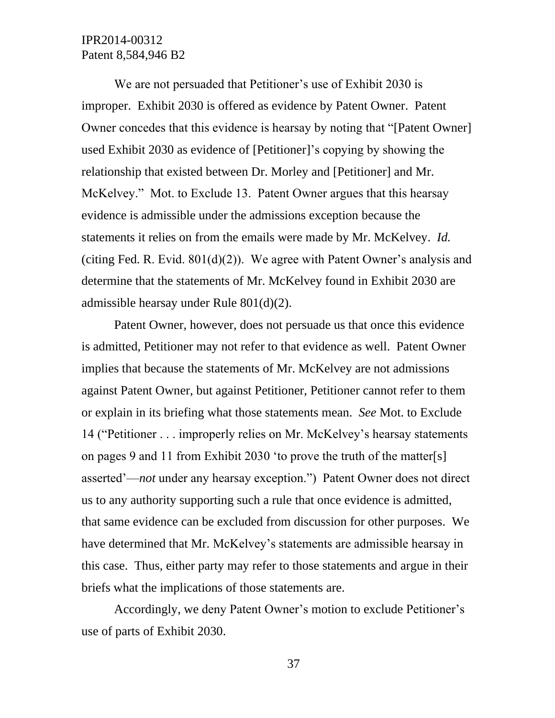We are not persuaded that Petitioner's use of Exhibit 2030 is improper. Exhibit 2030 is offered as evidence by Patent Owner. Patent Owner concedes that this evidence is hearsay by noting that "[Patent Owner] used Exhibit 2030 as evidence of [Petitioner]'s copying by showing the relationship that existed between Dr. Morley and [Petitioner] and Mr. McKelvey." Mot. to Exclude 13. Patent Owner argues that this hearsay evidence is admissible under the admissions exception because the statements it relies on from the emails were made by Mr. McKelvey. *Id.* (citing Fed. R. Evid.  $801(d)(2)$ ). We agree with Patent Owner's analysis and determine that the statements of Mr. McKelvey found in Exhibit 2030 are admissible hearsay under Rule 801(d)(2).

Patent Owner, however, does not persuade us that once this evidence is admitted, Petitioner may not refer to that evidence as well. Patent Owner implies that because the statements of Mr. McKelvey are not admissions against Patent Owner, but against Petitioner, Petitioner cannot refer to them or explain in its briefing what those statements mean. *See* Mot. to Exclude 14 ("Petitioner . . . improperly relies on Mr. McKelvey's hearsay statements on pages 9 and 11 from Exhibit 2030 'to prove the truth of the matter[s] asserted'—*not* under any hearsay exception.") Patent Owner does not direct us to any authority supporting such a rule that once evidence is admitted, that same evidence can be excluded from discussion for other purposes. We have determined that Mr. McKelvey's statements are admissible hearsay in this case. Thus, either party may refer to those statements and argue in their briefs what the implications of those statements are.

Accordingly, we deny Patent Owner's motion to exclude Petitioner's use of parts of Exhibit 2030.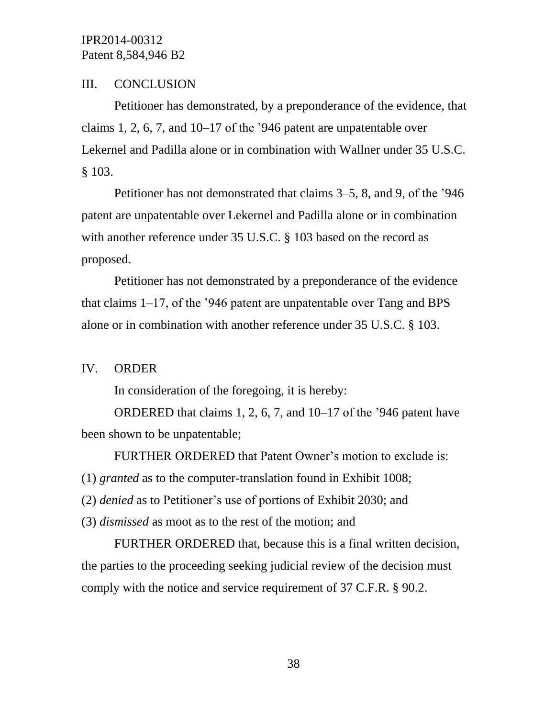#### III. CONCLUSION

Petitioner has demonstrated, by a preponderance of the evidence, that claims 1, 2, 6, 7, and  $10-17$  of the '946 patent are unpatentable over Lekernel and Padilla alone or in combination with Wallner under 35 U.S.C. § 103.

Petitioner has not demonstrated that claims 3–5, 8, and 9, of the '946 patent are unpatentable over Lekernel and Padilla alone or in combination with another reference under 35 U.S.C. § 103 based on the record as proposed.

Petitioner has not demonstrated by a preponderance of the evidence that claims 1–17, of the '946 patent are unpatentable over Tang and BPS alone or in combination with another reference under 35 U.S.C. § 103.

### IV. ORDER

In consideration of the foregoing, it is hereby:

ORDERED that claims 1, 2, 6, 7, and 10–17 of the '946 patent have been shown to be unpatentable;

FURTHER ORDERED that Patent Owner's motion to exclude is:

(1) *granted* as to the computer-translation found in Exhibit 1008;

(2) *denied* as to Petitioner's use of portions of Exhibit 2030; and

(3) *dismissed* as moot as to the rest of the motion; and

FURTHER ORDERED that, because this is a final written decision, the parties to the proceeding seeking judicial review of the decision must comply with the notice and service requirement of 37 C.F.R. § 90.2.